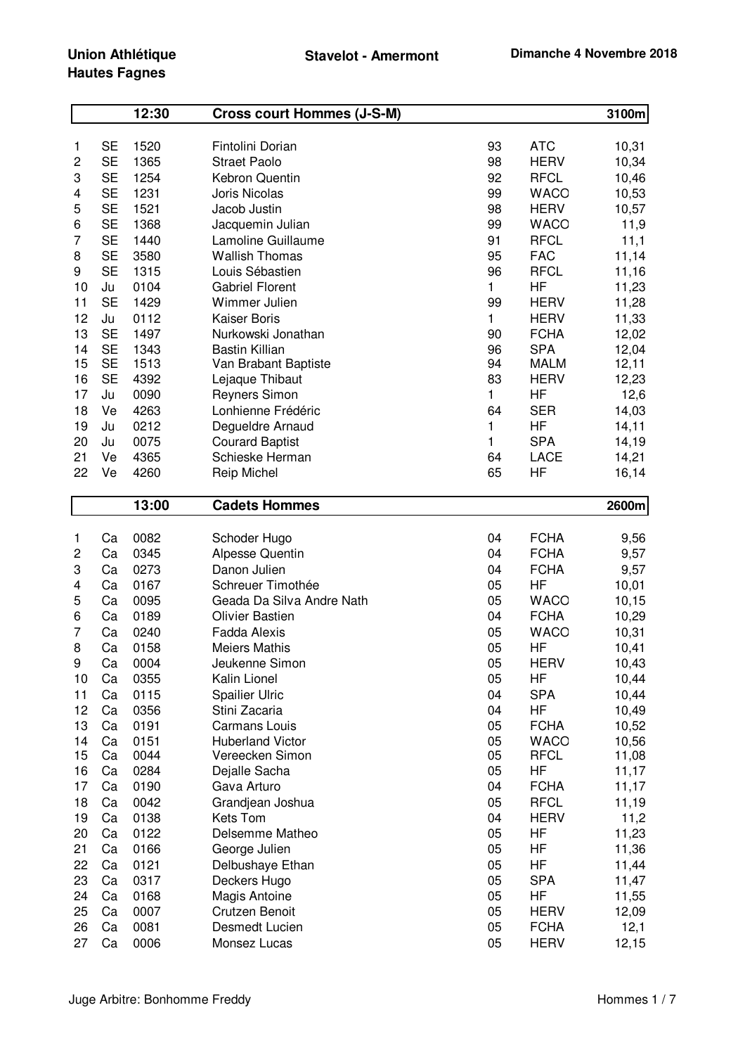## **Union Athlétique Hautes Fagnes**

|    |           | 12:30 | <b>Cross court Hommes (J-S-M)</b> |              |             | 3100m |
|----|-----------|-------|-----------------------------------|--------------|-------------|-------|
|    |           |       |                                   |              |             |       |
| 1  | SE        | 1520  | Fintolini Dorian                  | 93           | <b>ATC</b>  | 10,31 |
| 2  | <b>SE</b> | 1365  | <b>Straet Paolo</b>               | 98           | <b>HERV</b> | 10,34 |
| 3  | <b>SE</b> | 1254  | Kebron Quentin                    | 92           | <b>RFCL</b> | 10,46 |
| 4  | <b>SE</b> | 1231  | Joris Nicolas                     | 99           | <b>WACO</b> | 10,53 |
| 5  | <b>SE</b> | 1521  | Jacob Justin                      | 98           | <b>HERV</b> | 10,57 |
| 6  | <b>SE</b> | 1368  | Jacquemin Julian                  | 99           | <b>WACO</b> | 11,9  |
| 7  | <b>SE</b> | 1440  | Lamoline Guillaume                | 91           | <b>RFCL</b> | 11,1  |
| 8  | <b>SE</b> | 3580  | <b>Wallish Thomas</b>             | 95           | <b>FAC</b>  | 11,14 |
| 9  | <b>SE</b> | 1315  | Louis Sébastien                   | 96           | <b>RFCL</b> | 11,16 |
| 10 | Ju        | 0104  | <b>Gabriel Florent</b>            | 1            | ΗF          | 11,23 |
| 11 | <b>SE</b> | 1429  | Wimmer Julien                     | 99           | <b>HERV</b> | 11,28 |
| 12 | Ju        | 0112  | <b>Kaiser Boris</b>               | 1            | <b>HERV</b> | 11,33 |
| 13 | <b>SE</b> | 1497  | Nurkowski Jonathan                | 90           | <b>FCHA</b> | 12,02 |
| 14 | <b>SE</b> | 1343  | <b>Bastin Killian</b>             | 96           | <b>SPA</b>  | 12,04 |
| 15 | <b>SE</b> | 1513  | Van Brabant Baptiste              | 94           | <b>MALM</b> | 12,11 |
| 16 | <b>SE</b> | 4392  | Lejaque Thibaut                   | 83           | <b>HERV</b> | 12,23 |
| 17 | Ju        | 0090  | <b>Reyners Simon</b>              | 1            | HF          | 12,6  |
| 18 | Ve        | 4263  | Lonhienne Frédéric                | 64           | <b>SER</b>  | 14,03 |
| 19 | Ju        | 0212  | Degueldre Arnaud                  | 1            | HF          | 14,11 |
| 20 | Ju        | 0075  | <b>Courard Baptist</b>            | $\mathbf{1}$ | <b>SPA</b>  | 14,19 |
| 21 | Ve        | 4365  | Schieske Herman                   | 64           | LACE        | 14,21 |
| 22 | Ve        | 4260  | <b>Reip Michel</b>                | 65           | HF          | 16,14 |
|    |           | 13:00 | <b>Cadets Hommes</b>              |              |             | 2600m |
|    |           |       |                                   |              |             |       |
| 1  | Ca        | 0082  | Schoder Hugo                      | 04           | <b>FCHA</b> | 9,56  |
| 2  | Ca        | 0345  | <b>Alpesse Quentin</b>            | 04           | <b>FCHA</b> | 9,57  |
| 3  | Ca        | 0273  | Danon Julien                      | 04           | <b>FCHA</b> | 9,57  |
| 4  | Ca        | 0167  | Schreuer Timothée                 | 05           | HF          | 10,01 |
| 5  | Ca        | 0095  | Geada Da Silva Andre Nath         | 05           | <b>WACO</b> | 10,15 |
| 6  | Ca        | 0189  | <b>Olivier Bastien</b>            | 04           | <b>FCHA</b> | 10,29 |
| 7  | Ca        | 0240  | <b>Fadda Alexis</b>               | 05           | <b>WACO</b> | 10,31 |
| 8  | Ca        | 0158  | <b>Meiers Mathis</b>              | 05           | ΗF          | 10,41 |
| 9  | Ca        | 0004  | Jeukenne Simon                    | 05           | <b>HERV</b> | 10,43 |
| 10 | Ca        | 0355  | Kalin Lionel                      | 05           | ΗF          | 10,44 |
| 11 | Ca        | 0115  | <b>Spailier Ulric</b>             | 04           | <b>SPA</b>  | 10,44 |
| 12 | Ca        | 0356  | Stini Zacaria                     | 04           | HF          | 10,49 |
| 13 | Ca        | 0191  | <b>Carmans Louis</b>              | 05           | <b>FCHA</b> | 10,52 |
| 14 | Ca        | 0151  | <b>Huberland Victor</b>           | 05           | <b>WACO</b> | 10,56 |
| 15 |           |       |                                   |              |             |       |
| 16 | Ca        | 0044  | Vereecken Simon                   | 05           | <b>RFCL</b> | 11,08 |
|    | Ca        | 0284  | Dejalle Sacha                     | 05           | ΗF          | 11,17 |
| 17 | Ca        | 0190  | Gava Arturo                       | 04           | <b>FCHA</b> | 11,17 |
| 18 | Ca        | 0042  | Grandjean Joshua                  | 05           | <b>RFCL</b> | 11,19 |
| 19 | Ca        | 0138  | Kets Tom                          | 04           | <b>HERV</b> | 11,2  |
| 20 | Ca        | 0122  | Delsemme Matheo                   | 05           | HF          | 11,23 |
| 21 | Ca        | 0166  | George Julien                     | 05           | ΗF          | 11,36 |
| 22 | Ca        | 0121  | Delbushaye Ethan                  | 05           | ΗF          | 11,44 |
| 23 | Ca        | 0317  | Deckers Hugo                      | 05           | <b>SPA</b>  | 11,47 |
| 24 | Ca        | 0168  | Magis Antoine                     | 05           | ΗF          | 11,55 |
| 25 | Ca        | 0007  | Crutzen Benoit                    | 05           | <b>HERV</b> | 12,09 |
| 26 | Ca        | 0081  | Desmedt Lucien                    | 05           | <b>FCHA</b> | 12,1  |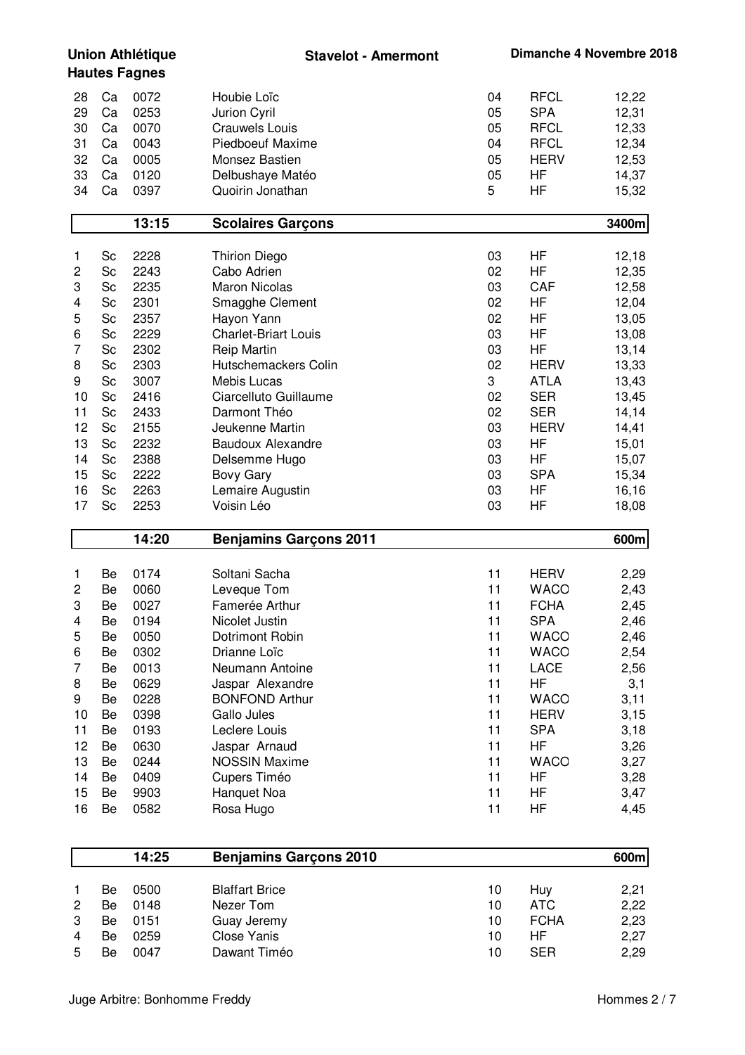**Union Athlétique Hautes Fagnes Stavelot - Amermont Dimanche 4 Novembre 2018** 28 Ca 0072 Houbie Loïc 04 RFCL 12,22 29 Ca 0253 Jurion Cyril 05 SPA 12,31 30 Ca 0070 Crauwels Louis 05 RFCL 12,33 31 Ca 0043 Piedboeuf Maxime 04 RFCL 12,34 32 Ca 0005 Monsez Bastien 05 HERV 12,53 33 Ca 0120 Delbushaye Matéo 05 HF 14,37 34 Ca 0397 Quoirin Jonathan 5 HF 15,32 **13:15 Scolaires Garçons 3400m** 1 Sc 2228 Thirion Diego 03 HF 12,18 2 Sc 2243 Cabo Adrien 02 HF 12,35 3 Sc 2235 Maron Nicolas 03 CAF 12,58 4 Sc 2301 Smagghe Clement 02 HF 12,04 5 Sc 2357 Hayon Yann 02 HF 13,05 6 Sc 2229 Charlet-Briart Louis 03 HF 13,08 7 Sc 2302 Reip Martin 03 HF 13,14 8 Sc 2303 Hutschemackers Colin 13,33 HERV 13,33 9 Sc 3007 Mebis Lucas 3 ATLA 13,43 10 Sc 2416 Ciarcelluto Guillaume 10 Communication Communication Communication Communication Communication Communication Communication Communication Communication Communication Communication Communication Communication Comm 11 Sc 2433 Darmont Théo 02 SER 14,14 12 Sc 2155 Jeukenne Martin 03 HERV 14,41 13 Sc 2232 Baudoux Alexandre 15.01 COM 15,01 14 Sc 2388 Delsemme Hugo 03 HF 15,07 15 Sc 2222 Bovy Gary 03 SPA 15,34 16 Sc 2263 Lemaire Augustin 03 HF 16,16 17 Sc 2253 Voisin Léo 03 HF 18,08 **14:20 Benjamins Garçons 2011 600m** 1 Be 0174 Soltani Sacha 11 HERV 2,29 2 Be 0060 Leveque Tom 11 WACO 2,43 3 Be 0027 Famerée Arthur 11 FCHA 2.45 4 Be 0194 Nicolet Justin 11 SPA 2,46 5 Be 0050 Dotrimont Robin 11 WACO 2,46 6 Be 0302 Drianne Loïc 11 WACO 2,54<br>
7 Be 0013 Neumann Antoine 11 LACE 2.56 7 Be 0013 Neumann Antoine 11 LACE 2,56 8 Be 0629 Jaspar Alexandre 11 HF 3.1 9 Be 0228 BONFOND Arthur 11 WACO 3,11 10 Be 0398 Gallo Jules 11 HERV 3,15 11 Be 0193 Leclere Louis 11 SPA 3,18 12 Be 0630 Jaspar Arnaud 11 HF 3,26 13 Be 0244 NOSSIN Maxime 11 WACO 3.27 14 Be 0409 Cupers Timéo 11 HF 3,28 15 Be 9903 Hanquet Noa 11 HF 3,47 16 Be 0582 Rosa Hugo 11 HF 4,45 **14:25 Benjamins Garçons 2010 600m** 1 Be 0500 Blaffart Brice 10 Huy 2,21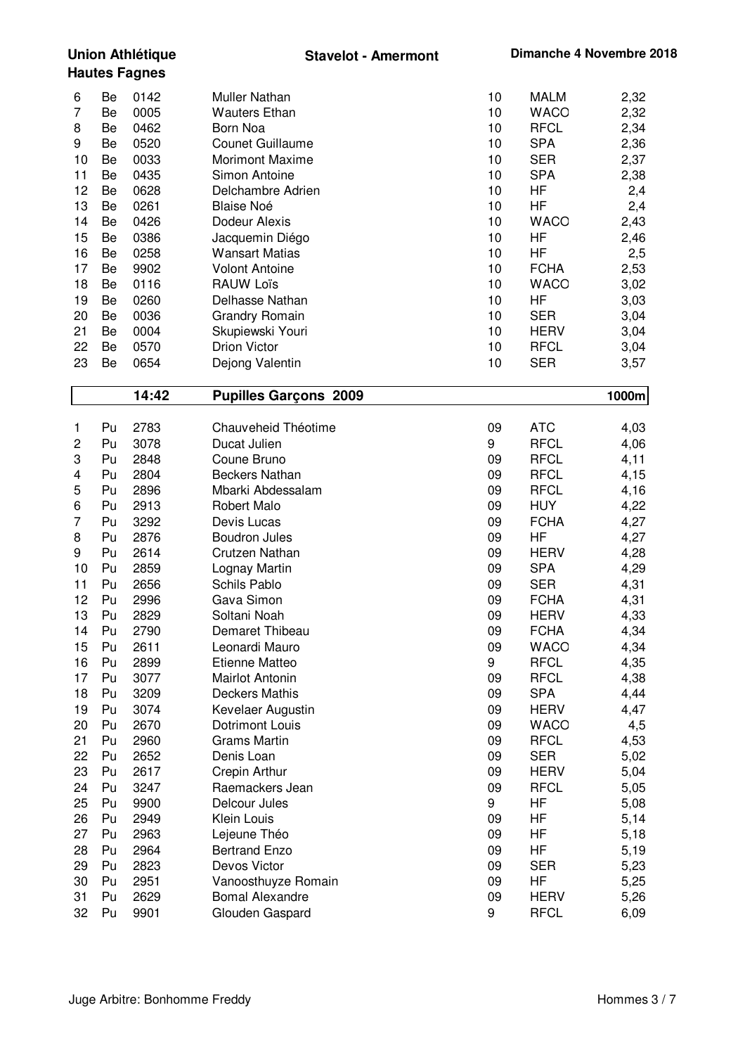| Be<br>0142<br>Muller Nathan<br>10<br><b>MALM</b><br>2,32<br>6<br>0005<br>7<br><b>Wauters Ethan</b><br>10<br><b>WACO</b><br>2,32<br>Be<br>0462<br>10<br><b>RFCL</b><br>2,34<br>8<br>Born Noa<br>Be<br>9<br><b>SPA</b><br>2,36<br>0520<br><b>Counet Guillaume</b><br>Be<br>10<br><b>SER</b><br>2,37<br>10<br>0033<br><b>Morimont Maxime</b><br>10<br>Be<br>11<br>0435<br>10<br><b>SPA</b><br>2,38<br>Be<br>Simon Antoine<br>12<br>0628<br>Delchambre Adrien<br>HF<br>2,4<br>Be<br>10<br>13<br>0261<br><b>Blaise Noé</b><br>10<br>HF<br>2,4<br>Be<br>14<br>0426<br>Dodeur Alexis<br>10<br><b>WACO</b><br>2,43<br>Be<br>15<br>0386<br>HF<br>2,46<br>Be<br>Jacquemin Diégo<br>10<br>16<br><b>HF</b><br>0258<br><b>Wansart Matias</b><br>10<br>2,5<br>Be<br><b>FCHA</b><br>17<br>9902<br>10<br>2,53<br>Be<br><b>Volont Antoine</b><br>18<br>0116<br><b>WACO</b><br>3,02<br>Be<br><b>RAUW Loïs</b><br>10<br>19<br>0260<br>Delhasse Nathan<br>10<br>HF<br>3,03<br>Be<br><b>SER</b><br>20<br>0036<br><b>Grandry Romain</b><br>10<br>3,04<br>Be<br>21<br>0004<br><b>HERV</b><br>3,04<br>Be<br>Skupiewski Youri<br>10<br><b>Drion Victor</b><br>22<br>0570<br><b>RFCL</b><br>3,04<br>Be<br>10<br><b>SER</b><br>23<br>0654<br>10<br>3,57<br>Be<br>Dejong Valentin<br>14:42<br><b>Pupilles Garçons 2009</b><br>1000m<br>2783<br><b>ATC</b><br>Chauveheid Théotime<br>09<br>Pu<br>4,03<br>1<br><b>RFCL</b><br>$\overline{\mathbf{c}}$<br>3078<br>Ducat Julien<br>9<br>4,06<br>Pu<br>3<br><b>RFCL</b><br>Coune Bruno<br>4,11<br>Pu<br>2848<br>09<br>4<br>Pu<br>2804<br><b>Beckers Nathan</b><br>09<br><b>RFCL</b><br>4,15<br>5<br>2896<br>Mbarki Abdessalam<br><b>RFCL</b><br>4,16<br>Pu<br>09<br>6<br>2913<br><b>HUY</b><br>4,22<br>Pu<br>Robert Malo<br>09<br>$\overline{7}$<br>Pu<br>3292<br>Devis Lucas<br>09<br><b>FCHA</b><br>4,27<br>8<br>HF<br>4,27<br>2876<br><b>Boudron Jules</b><br>Pu<br>09<br>9<br>2614<br>Crutzen Nathan<br><b>HERV</b><br>4,28<br>Pu<br>09<br><b>SPA</b><br>10<br>2859<br>09<br>Pu<br>4,29 |  |
|------------------------------------------------------------------------------------------------------------------------------------------------------------------------------------------------------------------------------------------------------------------------------------------------------------------------------------------------------------------------------------------------------------------------------------------------------------------------------------------------------------------------------------------------------------------------------------------------------------------------------------------------------------------------------------------------------------------------------------------------------------------------------------------------------------------------------------------------------------------------------------------------------------------------------------------------------------------------------------------------------------------------------------------------------------------------------------------------------------------------------------------------------------------------------------------------------------------------------------------------------------------------------------------------------------------------------------------------------------------------------------------------------------------------------------------------------------------------------------------------------------------------------------------------------------------------------------------------------------------------------------------------------------------------------------------------------------------------------------------------------------------------------------------------------------------------------------------------------------------------------------------------------------------------------------------------------------------------------------------------------------|--|
|                                                                                                                                                                                                                                                                                                                                                                                                                                                                                                                                                                                                                                                                                                                                                                                                                                                                                                                                                                                                                                                                                                                                                                                                                                                                                                                                                                                                                                                                                                                                                                                                                                                                                                                                                                                                                                                                                                                                                                                                            |  |
|                                                                                                                                                                                                                                                                                                                                                                                                                                                                                                                                                                                                                                                                                                                                                                                                                                                                                                                                                                                                                                                                                                                                                                                                                                                                                                                                                                                                                                                                                                                                                                                                                                                                                                                                                                                                                                                                                                                                                                                                            |  |
|                                                                                                                                                                                                                                                                                                                                                                                                                                                                                                                                                                                                                                                                                                                                                                                                                                                                                                                                                                                                                                                                                                                                                                                                                                                                                                                                                                                                                                                                                                                                                                                                                                                                                                                                                                                                                                                                                                                                                                                                            |  |
|                                                                                                                                                                                                                                                                                                                                                                                                                                                                                                                                                                                                                                                                                                                                                                                                                                                                                                                                                                                                                                                                                                                                                                                                                                                                                                                                                                                                                                                                                                                                                                                                                                                                                                                                                                                                                                                                                                                                                                                                            |  |
|                                                                                                                                                                                                                                                                                                                                                                                                                                                                                                                                                                                                                                                                                                                                                                                                                                                                                                                                                                                                                                                                                                                                                                                                                                                                                                                                                                                                                                                                                                                                                                                                                                                                                                                                                                                                                                                                                                                                                                                                            |  |
|                                                                                                                                                                                                                                                                                                                                                                                                                                                                                                                                                                                                                                                                                                                                                                                                                                                                                                                                                                                                                                                                                                                                                                                                                                                                                                                                                                                                                                                                                                                                                                                                                                                                                                                                                                                                                                                                                                                                                                                                            |  |
|                                                                                                                                                                                                                                                                                                                                                                                                                                                                                                                                                                                                                                                                                                                                                                                                                                                                                                                                                                                                                                                                                                                                                                                                                                                                                                                                                                                                                                                                                                                                                                                                                                                                                                                                                                                                                                                                                                                                                                                                            |  |
|                                                                                                                                                                                                                                                                                                                                                                                                                                                                                                                                                                                                                                                                                                                                                                                                                                                                                                                                                                                                                                                                                                                                                                                                                                                                                                                                                                                                                                                                                                                                                                                                                                                                                                                                                                                                                                                                                                                                                                                                            |  |
|                                                                                                                                                                                                                                                                                                                                                                                                                                                                                                                                                                                                                                                                                                                                                                                                                                                                                                                                                                                                                                                                                                                                                                                                                                                                                                                                                                                                                                                                                                                                                                                                                                                                                                                                                                                                                                                                                                                                                                                                            |  |
|                                                                                                                                                                                                                                                                                                                                                                                                                                                                                                                                                                                                                                                                                                                                                                                                                                                                                                                                                                                                                                                                                                                                                                                                                                                                                                                                                                                                                                                                                                                                                                                                                                                                                                                                                                                                                                                                                                                                                                                                            |  |
|                                                                                                                                                                                                                                                                                                                                                                                                                                                                                                                                                                                                                                                                                                                                                                                                                                                                                                                                                                                                                                                                                                                                                                                                                                                                                                                                                                                                                                                                                                                                                                                                                                                                                                                                                                                                                                                                                                                                                                                                            |  |
|                                                                                                                                                                                                                                                                                                                                                                                                                                                                                                                                                                                                                                                                                                                                                                                                                                                                                                                                                                                                                                                                                                                                                                                                                                                                                                                                                                                                                                                                                                                                                                                                                                                                                                                                                                                                                                                                                                                                                                                                            |  |
|                                                                                                                                                                                                                                                                                                                                                                                                                                                                                                                                                                                                                                                                                                                                                                                                                                                                                                                                                                                                                                                                                                                                                                                                                                                                                                                                                                                                                                                                                                                                                                                                                                                                                                                                                                                                                                                                                                                                                                                                            |  |
|                                                                                                                                                                                                                                                                                                                                                                                                                                                                                                                                                                                                                                                                                                                                                                                                                                                                                                                                                                                                                                                                                                                                                                                                                                                                                                                                                                                                                                                                                                                                                                                                                                                                                                                                                                                                                                                                                                                                                                                                            |  |
|                                                                                                                                                                                                                                                                                                                                                                                                                                                                                                                                                                                                                                                                                                                                                                                                                                                                                                                                                                                                                                                                                                                                                                                                                                                                                                                                                                                                                                                                                                                                                                                                                                                                                                                                                                                                                                                                                                                                                                                                            |  |
|                                                                                                                                                                                                                                                                                                                                                                                                                                                                                                                                                                                                                                                                                                                                                                                                                                                                                                                                                                                                                                                                                                                                                                                                                                                                                                                                                                                                                                                                                                                                                                                                                                                                                                                                                                                                                                                                                                                                                                                                            |  |
|                                                                                                                                                                                                                                                                                                                                                                                                                                                                                                                                                                                                                                                                                                                                                                                                                                                                                                                                                                                                                                                                                                                                                                                                                                                                                                                                                                                                                                                                                                                                                                                                                                                                                                                                                                                                                                                                                                                                                                                                            |  |
|                                                                                                                                                                                                                                                                                                                                                                                                                                                                                                                                                                                                                                                                                                                                                                                                                                                                                                                                                                                                                                                                                                                                                                                                                                                                                                                                                                                                                                                                                                                                                                                                                                                                                                                                                                                                                                                                                                                                                                                                            |  |
|                                                                                                                                                                                                                                                                                                                                                                                                                                                                                                                                                                                                                                                                                                                                                                                                                                                                                                                                                                                                                                                                                                                                                                                                                                                                                                                                                                                                                                                                                                                                                                                                                                                                                                                                                                                                                                                                                                                                                                                                            |  |
|                                                                                                                                                                                                                                                                                                                                                                                                                                                                                                                                                                                                                                                                                                                                                                                                                                                                                                                                                                                                                                                                                                                                                                                                                                                                                                                                                                                                                                                                                                                                                                                                                                                                                                                                                                                                                                                                                                                                                                                                            |  |
|                                                                                                                                                                                                                                                                                                                                                                                                                                                                                                                                                                                                                                                                                                                                                                                                                                                                                                                                                                                                                                                                                                                                                                                                                                                                                                                                                                                                                                                                                                                                                                                                                                                                                                                                                                                                                                                                                                                                                                                                            |  |
|                                                                                                                                                                                                                                                                                                                                                                                                                                                                                                                                                                                                                                                                                                                                                                                                                                                                                                                                                                                                                                                                                                                                                                                                                                                                                                                                                                                                                                                                                                                                                                                                                                                                                                                                                                                                                                                                                                                                                                                                            |  |
|                                                                                                                                                                                                                                                                                                                                                                                                                                                                                                                                                                                                                                                                                                                                                                                                                                                                                                                                                                                                                                                                                                                                                                                                                                                                                                                                                                                                                                                                                                                                                                                                                                                                                                                                                                                                                                                                                                                                                                                                            |  |
|                                                                                                                                                                                                                                                                                                                                                                                                                                                                                                                                                                                                                                                                                                                                                                                                                                                                                                                                                                                                                                                                                                                                                                                                                                                                                                                                                                                                                                                                                                                                                                                                                                                                                                                                                                                                                                                                                                                                                                                                            |  |
|                                                                                                                                                                                                                                                                                                                                                                                                                                                                                                                                                                                                                                                                                                                                                                                                                                                                                                                                                                                                                                                                                                                                                                                                                                                                                                                                                                                                                                                                                                                                                                                                                                                                                                                                                                                                                                                                                                                                                                                                            |  |
|                                                                                                                                                                                                                                                                                                                                                                                                                                                                                                                                                                                                                                                                                                                                                                                                                                                                                                                                                                                                                                                                                                                                                                                                                                                                                                                                                                                                                                                                                                                                                                                                                                                                                                                                                                                                                                                                                                                                                                                                            |  |
|                                                                                                                                                                                                                                                                                                                                                                                                                                                                                                                                                                                                                                                                                                                                                                                                                                                                                                                                                                                                                                                                                                                                                                                                                                                                                                                                                                                                                                                                                                                                                                                                                                                                                                                                                                                                                                                                                                                                                                                                            |  |
| Lognay Martin                                                                                                                                                                                                                                                                                                                                                                                                                                                                                                                                                                                                                                                                                                                                                                                                                                                                                                                                                                                                                                                                                                                                                                                                                                                                                                                                                                                                                                                                                                                                                                                                                                                                                                                                                                                                                                                                                                                                                                                              |  |
| 11<br>Pu<br>2656<br><b>Schils Pablo</b><br>09<br><b>SER</b><br>4,31<br>12                                                                                                                                                                                                                                                                                                                                                                                                                                                                                                                                                                                                                                                                                                                                                                                                                                                                                                                                                                                                                                                                                                                                                                                                                                                                                                                                                                                                                                                                                                                                                                                                                                                                                                                                                                                                                                                                                                                                  |  |
| 09<br><b>FCHA</b><br>Pu<br>2996<br>Gava Simon<br>4,31<br>13<br>09<br><b>HERV</b><br>Pu<br>2829<br>Soltani Noah                                                                                                                                                                                                                                                                                                                                                                                                                                                                                                                                                                                                                                                                                                                                                                                                                                                                                                                                                                                                                                                                                                                                                                                                                                                                                                                                                                                                                                                                                                                                                                                                                                                                                                                                                                                                                                                                                             |  |
| 4,33<br>14<br>09<br>4,34<br>2790<br>Demaret Thibeau<br><b>FCHA</b><br>Pu                                                                                                                                                                                                                                                                                                                                                                                                                                                                                                                                                                                                                                                                                                                                                                                                                                                                                                                                                                                                                                                                                                                                                                                                                                                                                                                                                                                                                                                                                                                                                                                                                                                                                                                                                                                                                                                                                                                                   |  |
| 15<br>09<br>4,34<br>Pu<br>2611<br>Leonardi Mauro<br><b>WACO</b>                                                                                                                                                                                                                                                                                                                                                                                                                                                                                                                                                                                                                                                                                                                                                                                                                                                                                                                                                                                                                                                                                                                                                                                                                                                                                                                                                                                                                                                                                                                                                                                                                                                                                                                                                                                                                                                                                                                                            |  |
| 16<br>9<br>4,35<br>Pu<br>2899<br>Etienne Matteo<br><b>RFCL</b>                                                                                                                                                                                                                                                                                                                                                                                                                                                                                                                                                                                                                                                                                                                                                                                                                                                                                                                                                                                                                                                                                                                                                                                                                                                                                                                                                                                                                                                                                                                                                                                                                                                                                                                                                                                                                                                                                                                                             |  |
| 17<br><b>RFCL</b><br>4,38<br>Pu<br>3077<br>Mairlot Antonin<br>09                                                                                                                                                                                                                                                                                                                                                                                                                                                                                                                                                                                                                                                                                                                                                                                                                                                                                                                                                                                                                                                                                                                                                                                                                                                                                                                                                                                                                                                                                                                                                                                                                                                                                                                                                                                                                                                                                                                                           |  |
| 18<br>4,44<br>Pu<br>3209<br><b>Deckers Mathis</b><br>09<br><b>SPA</b>                                                                                                                                                                                                                                                                                                                                                                                                                                                                                                                                                                                                                                                                                                                                                                                                                                                                                                                                                                                                                                                                                                                                                                                                                                                                                                                                                                                                                                                                                                                                                                                                                                                                                                                                                                                                                                                                                                                                      |  |
| 19<br>4,47<br>Pu<br>3074<br>Kevelaer Augustin<br>09<br><b>HERV</b>                                                                                                                                                                                                                                                                                                                                                                                                                                                                                                                                                                                                                                                                                                                                                                                                                                                                                                                                                                                                                                                                                                                                                                                                                                                                                                                                                                                                                                                                                                                                                                                                                                                                                                                                                                                                                                                                                                                                         |  |
| 20<br>4,5<br>Pu<br>2670<br>09<br><b>WACO</b><br><b>Dotrimont Louis</b>                                                                                                                                                                                                                                                                                                                                                                                                                                                                                                                                                                                                                                                                                                                                                                                                                                                                                                                                                                                                                                                                                                                                                                                                                                                                                                                                                                                                                                                                                                                                                                                                                                                                                                                                                                                                                                                                                                                                     |  |
| 4,53<br>21<br>Pu<br>2960<br><b>Grams Martin</b><br>09<br><b>RFCL</b>                                                                                                                                                                                                                                                                                                                                                                                                                                                                                                                                                                                                                                                                                                                                                                                                                                                                                                                                                                                                                                                                                                                                                                                                                                                                                                                                                                                                                                                                                                                                                                                                                                                                                                                                                                                                                                                                                                                                       |  |
| 22<br>2652<br><b>SER</b><br>Pu<br>Denis Loan<br>09<br>5,02                                                                                                                                                                                                                                                                                                                                                                                                                                                                                                                                                                                                                                                                                                                                                                                                                                                                                                                                                                                                                                                                                                                                                                                                                                                                                                                                                                                                                                                                                                                                                                                                                                                                                                                                                                                                                                                                                                                                                 |  |
| 23<br>2617<br>Crepin Arthur<br>09<br><b>HERV</b><br>5,04<br>Pu                                                                                                                                                                                                                                                                                                                                                                                                                                                                                                                                                                                                                                                                                                                                                                                                                                                                                                                                                                                                                                                                                                                                                                                                                                                                                                                                                                                                                                                                                                                                                                                                                                                                                                                                                                                                                                                                                                                                             |  |
| 24<br><b>RFCL</b><br>3247<br>Raemackers Jean<br>09<br>5,05<br>Pu                                                                                                                                                                                                                                                                                                                                                                                                                                                                                                                                                                                                                                                                                                                                                                                                                                                                                                                                                                                                                                                                                                                                                                                                                                                                                                                                                                                                                                                                                                                                                                                                                                                                                                                                                                                                                                                                                                                                           |  |
| 25<br>9<br>Pu<br>9900<br>Delcour Jules<br>ΗF<br>5,08                                                                                                                                                                                                                                                                                                                                                                                                                                                                                                                                                                                                                                                                                                                                                                                                                                                                                                                                                                                                                                                                                                                                                                                                                                                                                                                                                                                                                                                                                                                                                                                                                                                                                                                                                                                                                                                                                                                                                       |  |
| 26<br>Pu<br>2949<br>Klein Louis<br>09<br>ΗF<br>5,14                                                                                                                                                                                                                                                                                                                                                                                                                                                                                                                                                                                                                                                                                                                                                                                                                                                                                                                                                                                                                                                                                                                                                                                                                                                                                                                                                                                                                                                                                                                                                                                                                                                                                                                                                                                                                                                                                                                                                        |  |
| 27<br>Pu<br>2963<br>Lejeune Théo<br>09<br>ΗF<br>5,18                                                                                                                                                                                                                                                                                                                                                                                                                                                                                                                                                                                                                                                                                                                                                                                                                                                                                                                                                                                                                                                                                                                                                                                                                                                                                                                                                                                                                                                                                                                                                                                                                                                                                                                                                                                                                                                                                                                                                       |  |
| 28<br>HF<br>Pu<br>2964<br><b>Bertrand Enzo</b><br>09<br>5,19                                                                                                                                                                                                                                                                                                                                                                                                                                                                                                                                                                                                                                                                                                                                                                                                                                                                                                                                                                                                                                                                                                                                                                                                                                                                                                                                                                                                                                                                                                                                                                                                                                                                                                                                                                                                                                                                                                                                               |  |
| 29<br>2823<br>Devos Victor<br>5,23<br>Pu<br>09<br><b>SER</b>                                                                                                                                                                                                                                                                                                                                                                                                                                                                                                                                                                                                                                                                                                                                                                                                                                                                                                                                                                                                                                                                                                                                                                                                                                                                                                                                                                                                                                                                                                                                                                                                                                                                                                                                                                                                                                                                                                                                               |  |
| 30<br>HF<br>5,25<br>Pu<br>2951<br>Vanoosthuyze Romain<br>09                                                                                                                                                                                                                                                                                                                                                                                                                                                                                                                                                                                                                                                                                                                                                                                                                                                                                                                                                                                                                                                                                                                                                                                                                                                                                                                                                                                                                                                                                                                                                                                                                                                                                                                                                                                                                                                                                                                                                |  |
| 31<br>Pu<br>2629<br><b>Bomal Alexandre</b><br>09<br><b>HERV</b><br>5,26<br>32<br><b>RFCL</b><br>Pu<br>9901<br>Glouden Gaspard<br>9<br>6,09                                                                                                                                                                                                                                                                                                                                                                                                                                                                                                                                                                                                                                                                                                                                                                                                                                                                                                                                                                                                                                                                                                                                                                                                                                                                                                                                                                                                                                                                                                                                                                                                                                                                                                                                                                                                                                                                 |  |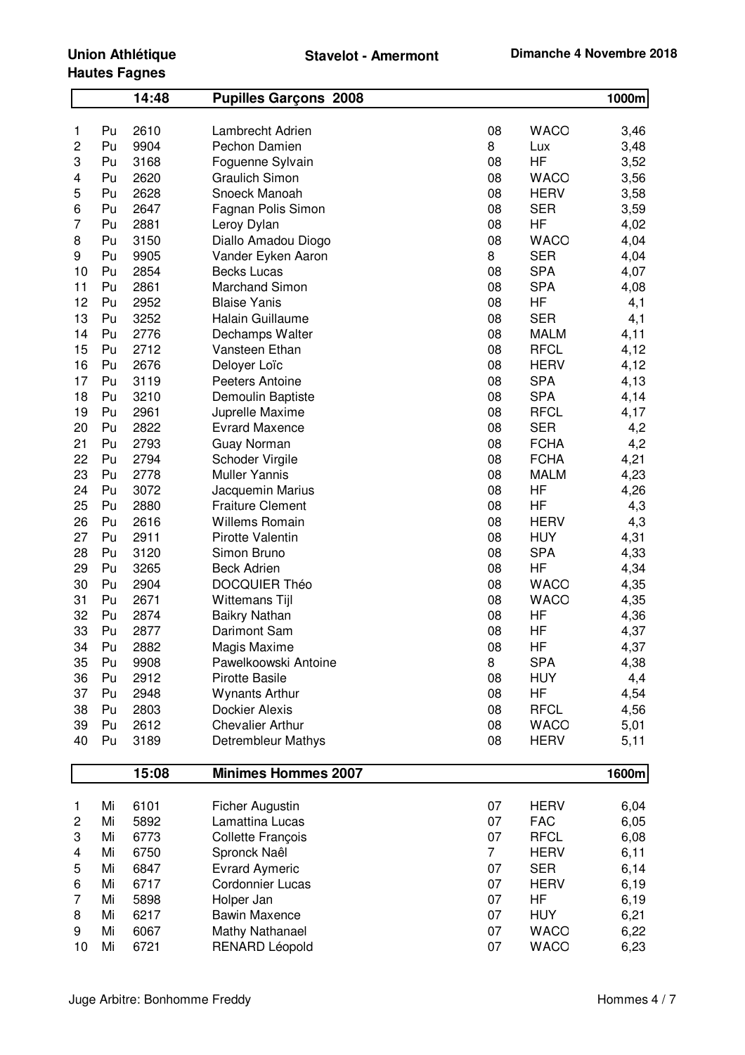## **Union Athlétique Hautes Fagnes**

| 08<br>Pu<br>2610<br>Lambrecht Adrien<br><b>WACO</b><br>1<br>3,46<br>2<br>9904<br>Pechon Damien<br>8<br>Pu<br>Lux<br>3,48<br>HF<br>3168<br>3,52<br>3<br>Pu<br>Foguenne Sylvain<br>08<br>2620<br><b>Graulich Simon</b><br>08<br><b>WACO</b><br>Pu<br>3,56<br>4<br>5<br>2628<br>Snoeck Manoah<br>08<br><b>HERV</b><br>Pu<br>3,58<br>2647<br><b>SER</b><br>6<br>Pu<br>Fagnan Polis Simon<br>08<br>3,59<br>7<br>2881<br>08<br>HF<br>Pu<br>Leroy Dylan<br>4,02<br>3150<br>08<br><b>WACO</b><br>8<br>Pu<br>Diallo Amadou Diogo<br>4,04<br>9905<br>8<br><b>SER</b><br>4,04<br>9<br>Pu<br>Vander Eyken Aaron<br><b>SPA</b><br>2854<br><b>Becks Lucas</b><br>08<br>4,07<br>10<br>Pu<br><b>SPA</b><br>11<br>2861<br><b>Marchand Simon</b><br>08<br>Pu<br>4,08<br>12<br>2952<br>08<br>HF<br>Pu<br><b>Blaise Yanis</b><br>4,1<br>13<br>3252<br>Halain Guillaume<br>08<br><b>SER</b><br>Pu<br>4,1<br>14<br>2776<br>08<br><b>MALM</b><br>Pu<br>Dechamps Walter<br>4,11<br>2712<br>08<br><b>RFCL</b><br>4,12<br>15<br>Pu<br>Vansteen Ethan<br>16<br>2676<br>08<br>Pu<br>Deloyer Loïc<br><b>HERV</b><br>4,12<br><b>SPA</b><br>17<br>3119<br>08<br>Pu<br>Peeters Antoine<br>4,13<br><b>SPA</b><br>18<br>3210<br>Pu<br>Demoulin Baptiste<br>08<br>4,14<br><b>RFCL</b><br>19<br>Pu<br>2961<br>Juprelle Maxime<br>08<br>4,17<br>20<br>2822<br>08<br><b>SER</b><br>Pu<br><b>Evrard Maxence</b><br>4,2<br>21<br>2793<br>08<br><b>FCHA</b><br>Pu<br><b>Guay Norman</b><br>4,2<br>22<br>2794<br>08<br><b>FCHA</b><br>Pu<br>Schoder Virgile<br>4,21<br>23<br>2778<br><b>Muller Yannis</b><br>08<br>Pu<br><b>MALM</b><br>4,23<br>24<br>08<br>HF<br>4,26<br>Pu<br>3072<br>Jacquemin Marius<br>25<br>2880<br><b>Fraiture Clement</b><br>08<br>HF<br>Pu<br>4,3<br>26<br>2616<br><b>Willems Romain</b><br>08<br>Pu<br><b>HERV</b><br>4,3<br>27<br>2911<br>Pirotte Valentin<br>08<br><b>HUY</b><br>4,31<br>Pu<br>28<br>3120<br>Simon Bruno<br>08<br><b>SPA</b><br>4,33<br>Pu<br>HF<br>29<br>3265<br><b>Beck Adrien</b><br>08<br>Pu<br>4,34<br>30<br>2904<br>08<br><b>WACO</b><br>Pu<br><b>DOCQUIER Théo</b><br>4,35<br>2671<br><b>WACO</b><br>31<br>Pu<br><b>Wittemans Tijl</b><br>08<br>4,35<br>32<br>2874<br>Pu<br><b>Baikry Nathan</b><br>08<br>HF<br>4,36<br>33<br>Pu<br>2877<br>08<br>HF<br>Darimont Sam<br>4,37<br>34<br>HF<br>2882<br>08<br>4,37<br>Pu<br>Magis Maxime<br>Pawelkoowski Antoine<br>8<br><b>SPA</b><br>35<br>9908<br>4,38<br>Pu<br>36<br>2912<br><b>Pirotte Basile</b><br>08<br><b>HUY</b><br>4,4<br>Pu<br>HF<br><b>Wynants Arthur</b><br>4,54<br>37<br>Pu<br>2948<br>08<br>2803<br><b>Dockier Alexis</b><br>08<br>4,56<br>38<br>Pu<br><b>RFCL</b><br>2612<br><b>Chevalier Arthur</b><br>08<br>5,01<br>39<br>Pu<br><b>WACO</b><br><b>Detrembleur Mathys</b><br>40<br>Pu<br>3189<br>08<br><b>HERV</b><br>5,11<br><b>Minimes Hommes 2007</b><br>15:08<br>1600m<br>6101<br>07<br><b>HERV</b><br>Mi<br>Ficher Augustin<br>1<br>6,04<br>Lamattina Lucas<br>07<br><b>FAC</b><br>6,05<br>$\overline{c}$<br>Mi<br>5892<br>07<br><b>RFCL</b><br>6,08<br>3<br>Mi<br>6773<br>Collette François<br>$\overline{7}$<br><b>HERV</b><br>6,11<br>Mi<br>6750<br>Spronck Naêl<br>4<br><b>Evrard Aymeric</b><br><b>SER</b><br>Mi<br>6847<br>07<br>6,14<br>5<br>Mi<br>6717<br>Cordonnier Lucas<br>07<br>6<br><b>HERV</b><br>6, 19<br>7<br>5898<br>07<br>HF<br>Mi<br>Holper Jan<br>6,19<br>07<br><b>HUY</b><br>8<br>Mi<br>6217<br><b>Bawin Maxence</b><br>6,21<br>Mi<br>6067<br><b>Mathy Nathanael</b><br>07<br><b>WACO</b><br>9<br>6,22<br>10<br>6721<br><b>RENARD Léopold</b><br>07<br><b>WACO</b><br>6,23<br>Mi |  | 14:48 | <b>Pupilles Garçons 2008</b> |  | 1000m |
|-----------------------------------------------------------------------------------------------------------------------------------------------------------------------------------------------------------------------------------------------------------------------------------------------------------------------------------------------------------------------------------------------------------------------------------------------------------------------------------------------------------------------------------------------------------------------------------------------------------------------------------------------------------------------------------------------------------------------------------------------------------------------------------------------------------------------------------------------------------------------------------------------------------------------------------------------------------------------------------------------------------------------------------------------------------------------------------------------------------------------------------------------------------------------------------------------------------------------------------------------------------------------------------------------------------------------------------------------------------------------------------------------------------------------------------------------------------------------------------------------------------------------------------------------------------------------------------------------------------------------------------------------------------------------------------------------------------------------------------------------------------------------------------------------------------------------------------------------------------------------------------------------------------------------------------------------------------------------------------------------------------------------------------------------------------------------------------------------------------------------------------------------------------------------------------------------------------------------------------------------------------------------------------------------------------------------------------------------------------------------------------------------------------------------------------------------------------------------------------------------------------------------------------------------------------------------------------------------------------------------------------------------------------------------------------------------------------------------------------------------------------------------------------------------------------------------------------------------------------------------------------------------------------------------------------------------------------------------------------------------------------------------------------------------------------------------------------------------------------------------------------------------------------------------------------------------------------------------------------------------------------------------------------------------------------------------------------------------------------------------------------------------------------------------------------------------------------------------------------------------------------------------------------------------------------------------------------|--|-------|------------------------------|--|-------|
|                                                                                                                                                                                                                                                                                                                                                                                                                                                                                                                                                                                                                                                                                                                                                                                                                                                                                                                                                                                                                                                                                                                                                                                                                                                                                                                                                                                                                                                                                                                                                                                                                                                                                                                                                                                                                                                                                                                                                                                                                                                                                                                                                                                                                                                                                                                                                                                                                                                                                                                                                                                                                                                                                                                                                                                                                                                                                                                                                                                                                                                                                                                                                                                                                                                                                                                                                                                                                                                                                                                                                                                   |  |       |                              |  |       |
|                                                                                                                                                                                                                                                                                                                                                                                                                                                                                                                                                                                                                                                                                                                                                                                                                                                                                                                                                                                                                                                                                                                                                                                                                                                                                                                                                                                                                                                                                                                                                                                                                                                                                                                                                                                                                                                                                                                                                                                                                                                                                                                                                                                                                                                                                                                                                                                                                                                                                                                                                                                                                                                                                                                                                                                                                                                                                                                                                                                                                                                                                                                                                                                                                                                                                                                                                                                                                                                                                                                                                                                   |  |       |                              |  |       |
|                                                                                                                                                                                                                                                                                                                                                                                                                                                                                                                                                                                                                                                                                                                                                                                                                                                                                                                                                                                                                                                                                                                                                                                                                                                                                                                                                                                                                                                                                                                                                                                                                                                                                                                                                                                                                                                                                                                                                                                                                                                                                                                                                                                                                                                                                                                                                                                                                                                                                                                                                                                                                                                                                                                                                                                                                                                                                                                                                                                                                                                                                                                                                                                                                                                                                                                                                                                                                                                                                                                                                                                   |  |       |                              |  |       |
|                                                                                                                                                                                                                                                                                                                                                                                                                                                                                                                                                                                                                                                                                                                                                                                                                                                                                                                                                                                                                                                                                                                                                                                                                                                                                                                                                                                                                                                                                                                                                                                                                                                                                                                                                                                                                                                                                                                                                                                                                                                                                                                                                                                                                                                                                                                                                                                                                                                                                                                                                                                                                                                                                                                                                                                                                                                                                                                                                                                                                                                                                                                                                                                                                                                                                                                                                                                                                                                                                                                                                                                   |  |       |                              |  |       |
|                                                                                                                                                                                                                                                                                                                                                                                                                                                                                                                                                                                                                                                                                                                                                                                                                                                                                                                                                                                                                                                                                                                                                                                                                                                                                                                                                                                                                                                                                                                                                                                                                                                                                                                                                                                                                                                                                                                                                                                                                                                                                                                                                                                                                                                                                                                                                                                                                                                                                                                                                                                                                                                                                                                                                                                                                                                                                                                                                                                                                                                                                                                                                                                                                                                                                                                                                                                                                                                                                                                                                                                   |  |       |                              |  |       |
|                                                                                                                                                                                                                                                                                                                                                                                                                                                                                                                                                                                                                                                                                                                                                                                                                                                                                                                                                                                                                                                                                                                                                                                                                                                                                                                                                                                                                                                                                                                                                                                                                                                                                                                                                                                                                                                                                                                                                                                                                                                                                                                                                                                                                                                                                                                                                                                                                                                                                                                                                                                                                                                                                                                                                                                                                                                                                                                                                                                                                                                                                                                                                                                                                                                                                                                                                                                                                                                                                                                                                                                   |  |       |                              |  |       |
|                                                                                                                                                                                                                                                                                                                                                                                                                                                                                                                                                                                                                                                                                                                                                                                                                                                                                                                                                                                                                                                                                                                                                                                                                                                                                                                                                                                                                                                                                                                                                                                                                                                                                                                                                                                                                                                                                                                                                                                                                                                                                                                                                                                                                                                                                                                                                                                                                                                                                                                                                                                                                                                                                                                                                                                                                                                                                                                                                                                                                                                                                                                                                                                                                                                                                                                                                                                                                                                                                                                                                                                   |  |       |                              |  |       |
|                                                                                                                                                                                                                                                                                                                                                                                                                                                                                                                                                                                                                                                                                                                                                                                                                                                                                                                                                                                                                                                                                                                                                                                                                                                                                                                                                                                                                                                                                                                                                                                                                                                                                                                                                                                                                                                                                                                                                                                                                                                                                                                                                                                                                                                                                                                                                                                                                                                                                                                                                                                                                                                                                                                                                                                                                                                                                                                                                                                                                                                                                                                                                                                                                                                                                                                                                                                                                                                                                                                                                                                   |  |       |                              |  |       |
|                                                                                                                                                                                                                                                                                                                                                                                                                                                                                                                                                                                                                                                                                                                                                                                                                                                                                                                                                                                                                                                                                                                                                                                                                                                                                                                                                                                                                                                                                                                                                                                                                                                                                                                                                                                                                                                                                                                                                                                                                                                                                                                                                                                                                                                                                                                                                                                                                                                                                                                                                                                                                                                                                                                                                                                                                                                                                                                                                                                                                                                                                                                                                                                                                                                                                                                                                                                                                                                                                                                                                                                   |  |       |                              |  |       |
|                                                                                                                                                                                                                                                                                                                                                                                                                                                                                                                                                                                                                                                                                                                                                                                                                                                                                                                                                                                                                                                                                                                                                                                                                                                                                                                                                                                                                                                                                                                                                                                                                                                                                                                                                                                                                                                                                                                                                                                                                                                                                                                                                                                                                                                                                                                                                                                                                                                                                                                                                                                                                                                                                                                                                                                                                                                                                                                                                                                                                                                                                                                                                                                                                                                                                                                                                                                                                                                                                                                                                                                   |  |       |                              |  |       |
|                                                                                                                                                                                                                                                                                                                                                                                                                                                                                                                                                                                                                                                                                                                                                                                                                                                                                                                                                                                                                                                                                                                                                                                                                                                                                                                                                                                                                                                                                                                                                                                                                                                                                                                                                                                                                                                                                                                                                                                                                                                                                                                                                                                                                                                                                                                                                                                                                                                                                                                                                                                                                                                                                                                                                                                                                                                                                                                                                                                                                                                                                                                                                                                                                                                                                                                                                                                                                                                                                                                                                                                   |  |       |                              |  |       |
|                                                                                                                                                                                                                                                                                                                                                                                                                                                                                                                                                                                                                                                                                                                                                                                                                                                                                                                                                                                                                                                                                                                                                                                                                                                                                                                                                                                                                                                                                                                                                                                                                                                                                                                                                                                                                                                                                                                                                                                                                                                                                                                                                                                                                                                                                                                                                                                                                                                                                                                                                                                                                                                                                                                                                                                                                                                                                                                                                                                                                                                                                                                                                                                                                                                                                                                                                                                                                                                                                                                                                                                   |  |       |                              |  |       |
|                                                                                                                                                                                                                                                                                                                                                                                                                                                                                                                                                                                                                                                                                                                                                                                                                                                                                                                                                                                                                                                                                                                                                                                                                                                                                                                                                                                                                                                                                                                                                                                                                                                                                                                                                                                                                                                                                                                                                                                                                                                                                                                                                                                                                                                                                                                                                                                                                                                                                                                                                                                                                                                                                                                                                                                                                                                                                                                                                                                                                                                                                                                                                                                                                                                                                                                                                                                                                                                                                                                                                                                   |  |       |                              |  |       |
|                                                                                                                                                                                                                                                                                                                                                                                                                                                                                                                                                                                                                                                                                                                                                                                                                                                                                                                                                                                                                                                                                                                                                                                                                                                                                                                                                                                                                                                                                                                                                                                                                                                                                                                                                                                                                                                                                                                                                                                                                                                                                                                                                                                                                                                                                                                                                                                                                                                                                                                                                                                                                                                                                                                                                                                                                                                                                                                                                                                                                                                                                                                                                                                                                                                                                                                                                                                                                                                                                                                                                                                   |  |       |                              |  |       |
|                                                                                                                                                                                                                                                                                                                                                                                                                                                                                                                                                                                                                                                                                                                                                                                                                                                                                                                                                                                                                                                                                                                                                                                                                                                                                                                                                                                                                                                                                                                                                                                                                                                                                                                                                                                                                                                                                                                                                                                                                                                                                                                                                                                                                                                                                                                                                                                                                                                                                                                                                                                                                                                                                                                                                                                                                                                                                                                                                                                                                                                                                                                                                                                                                                                                                                                                                                                                                                                                                                                                                                                   |  |       |                              |  |       |
|                                                                                                                                                                                                                                                                                                                                                                                                                                                                                                                                                                                                                                                                                                                                                                                                                                                                                                                                                                                                                                                                                                                                                                                                                                                                                                                                                                                                                                                                                                                                                                                                                                                                                                                                                                                                                                                                                                                                                                                                                                                                                                                                                                                                                                                                                                                                                                                                                                                                                                                                                                                                                                                                                                                                                                                                                                                                                                                                                                                                                                                                                                                                                                                                                                                                                                                                                                                                                                                                                                                                                                                   |  |       |                              |  |       |
|                                                                                                                                                                                                                                                                                                                                                                                                                                                                                                                                                                                                                                                                                                                                                                                                                                                                                                                                                                                                                                                                                                                                                                                                                                                                                                                                                                                                                                                                                                                                                                                                                                                                                                                                                                                                                                                                                                                                                                                                                                                                                                                                                                                                                                                                                                                                                                                                                                                                                                                                                                                                                                                                                                                                                                                                                                                                                                                                                                                                                                                                                                                                                                                                                                                                                                                                                                                                                                                                                                                                                                                   |  |       |                              |  |       |
|                                                                                                                                                                                                                                                                                                                                                                                                                                                                                                                                                                                                                                                                                                                                                                                                                                                                                                                                                                                                                                                                                                                                                                                                                                                                                                                                                                                                                                                                                                                                                                                                                                                                                                                                                                                                                                                                                                                                                                                                                                                                                                                                                                                                                                                                                                                                                                                                                                                                                                                                                                                                                                                                                                                                                                                                                                                                                                                                                                                                                                                                                                                                                                                                                                                                                                                                                                                                                                                                                                                                                                                   |  |       |                              |  |       |
|                                                                                                                                                                                                                                                                                                                                                                                                                                                                                                                                                                                                                                                                                                                                                                                                                                                                                                                                                                                                                                                                                                                                                                                                                                                                                                                                                                                                                                                                                                                                                                                                                                                                                                                                                                                                                                                                                                                                                                                                                                                                                                                                                                                                                                                                                                                                                                                                                                                                                                                                                                                                                                                                                                                                                                                                                                                                                                                                                                                                                                                                                                                                                                                                                                                                                                                                                                                                                                                                                                                                                                                   |  |       |                              |  |       |
|                                                                                                                                                                                                                                                                                                                                                                                                                                                                                                                                                                                                                                                                                                                                                                                                                                                                                                                                                                                                                                                                                                                                                                                                                                                                                                                                                                                                                                                                                                                                                                                                                                                                                                                                                                                                                                                                                                                                                                                                                                                                                                                                                                                                                                                                                                                                                                                                                                                                                                                                                                                                                                                                                                                                                                                                                                                                                                                                                                                                                                                                                                                                                                                                                                                                                                                                                                                                                                                                                                                                                                                   |  |       |                              |  |       |
|                                                                                                                                                                                                                                                                                                                                                                                                                                                                                                                                                                                                                                                                                                                                                                                                                                                                                                                                                                                                                                                                                                                                                                                                                                                                                                                                                                                                                                                                                                                                                                                                                                                                                                                                                                                                                                                                                                                                                                                                                                                                                                                                                                                                                                                                                                                                                                                                                                                                                                                                                                                                                                                                                                                                                                                                                                                                                                                                                                                                                                                                                                                                                                                                                                                                                                                                                                                                                                                                                                                                                                                   |  |       |                              |  |       |
|                                                                                                                                                                                                                                                                                                                                                                                                                                                                                                                                                                                                                                                                                                                                                                                                                                                                                                                                                                                                                                                                                                                                                                                                                                                                                                                                                                                                                                                                                                                                                                                                                                                                                                                                                                                                                                                                                                                                                                                                                                                                                                                                                                                                                                                                                                                                                                                                                                                                                                                                                                                                                                                                                                                                                                                                                                                                                                                                                                                                                                                                                                                                                                                                                                                                                                                                                                                                                                                                                                                                                                                   |  |       |                              |  |       |
|                                                                                                                                                                                                                                                                                                                                                                                                                                                                                                                                                                                                                                                                                                                                                                                                                                                                                                                                                                                                                                                                                                                                                                                                                                                                                                                                                                                                                                                                                                                                                                                                                                                                                                                                                                                                                                                                                                                                                                                                                                                                                                                                                                                                                                                                                                                                                                                                                                                                                                                                                                                                                                                                                                                                                                                                                                                                                                                                                                                                                                                                                                                                                                                                                                                                                                                                                                                                                                                                                                                                                                                   |  |       |                              |  |       |
|                                                                                                                                                                                                                                                                                                                                                                                                                                                                                                                                                                                                                                                                                                                                                                                                                                                                                                                                                                                                                                                                                                                                                                                                                                                                                                                                                                                                                                                                                                                                                                                                                                                                                                                                                                                                                                                                                                                                                                                                                                                                                                                                                                                                                                                                                                                                                                                                                                                                                                                                                                                                                                                                                                                                                                                                                                                                                                                                                                                                                                                                                                                                                                                                                                                                                                                                                                                                                                                                                                                                                                                   |  |       |                              |  |       |
|                                                                                                                                                                                                                                                                                                                                                                                                                                                                                                                                                                                                                                                                                                                                                                                                                                                                                                                                                                                                                                                                                                                                                                                                                                                                                                                                                                                                                                                                                                                                                                                                                                                                                                                                                                                                                                                                                                                                                                                                                                                                                                                                                                                                                                                                                                                                                                                                                                                                                                                                                                                                                                                                                                                                                                                                                                                                                                                                                                                                                                                                                                                                                                                                                                                                                                                                                                                                                                                                                                                                                                                   |  |       |                              |  |       |
|                                                                                                                                                                                                                                                                                                                                                                                                                                                                                                                                                                                                                                                                                                                                                                                                                                                                                                                                                                                                                                                                                                                                                                                                                                                                                                                                                                                                                                                                                                                                                                                                                                                                                                                                                                                                                                                                                                                                                                                                                                                                                                                                                                                                                                                                                                                                                                                                                                                                                                                                                                                                                                                                                                                                                                                                                                                                                                                                                                                                                                                                                                                                                                                                                                                                                                                                                                                                                                                                                                                                                                                   |  |       |                              |  |       |
|                                                                                                                                                                                                                                                                                                                                                                                                                                                                                                                                                                                                                                                                                                                                                                                                                                                                                                                                                                                                                                                                                                                                                                                                                                                                                                                                                                                                                                                                                                                                                                                                                                                                                                                                                                                                                                                                                                                                                                                                                                                                                                                                                                                                                                                                                                                                                                                                                                                                                                                                                                                                                                                                                                                                                                                                                                                                                                                                                                                                                                                                                                                                                                                                                                                                                                                                                                                                                                                                                                                                                                                   |  |       |                              |  |       |
|                                                                                                                                                                                                                                                                                                                                                                                                                                                                                                                                                                                                                                                                                                                                                                                                                                                                                                                                                                                                                                                                                                                                                                                                                                                                                                                                                                                                                                                                                                                                                                                                                                                                                                                                                                                                                                                                                                                                                                                                                                                                                                                                                                                                                                                                                                                                                                                                                                                                                                                                                                                                                                                                                                                                                                                                                                                                                                                                                                                                                                                                                                                                                                                                                                                                                                                                                                                                                                                                                                                                                                                   |  |       |                              |  |       |
|                                                                                                                                                                                                                                                                                                                                                                                                                                                                                                                                                                                                                                                                                                                                                                                                                                                                                                                                                                                                                                                                                                                                                                                                                                                                                                                                                                                                                                                                                                                                                                                                                                                                                                                                                                                                                                                                                                                                                                                                                                                                                                                                                                                                                                                                                                                                                                                                                                                                                                                                                                                                                                                                                                                                                                                                                                                                                                                                                                                                                                                                                                                                                                                                                                                                                                                                                                                                                                                                                                                                                                                   |  |       |                              |  |       |
|                                                                                                                                                                                                                                                                                                                                                                                                                                                                                                                                                                                                                                                                                                                                                                                                                                                                                                                                                                                                                                                                                                                                                                                                                                                                                                                                                                                                                                                                                                                                                                                                                                                                                                                                                                                                                                                                                                                                                                                                                                                                                                                                                                                                                                                                                                                                                                                                                                                                                                                                                                                                                                                                                                                                                                                                                                                                                                                                                                                                                                                                                                                                                                                                                                                                                                                                                                                                                                                                                                                                                                                   |  |       |                              |  |       |
|                                                                                                                                                                                                                                                                                                                                                                                                                                                                                                                                                                                                                                                                                                                                                                                                                                                                                                                                                                                                                                                                                                                                                                                                                                                                                                                                                                                                                                                                                                                                                                                                                                                                                                                                                                                                                                                                                                                                                                                                                                                                                                                                                                                                                                                                                                                                                                                                                                                                                                                                                                                                                                                                                                                                                                                                                                                                                                                                                                                                                                                                                                                                                                                                                                                                                                                                                                                                                                                                                                                                                                                   |  |       |                              |  |       |
|                                                                                                                                                                                                                                                                                                                                                                                                                                                                                                                                                                                                                                                                                                                                                                                                                                                                                                                                                                                                                                                                                                                                                                                                                                                                                                                                                                                                                                                                                                                                                                                                                                                                                                                                                                                                                                                                                                                                                                                                                                                                                                                                                                                                                                                                                                                                                                                                                                                                                                                                                                                                                                                                                                                                                                                                                                                                                                                                                                                                                                                                                                                                                                                                                                                                                                                                                                                                                                                                                                                                                                                   |  |       |                              |  |       |
|                                                                                                                                                                                                                                                                                                                                                                                                                                                                                                                                                                                                                                                                                                                                                                                                                                                                                                                                                                                                                                                                                                                                                                                                                                                                                                                                                                                                                                                                                                                                                                                                                                                                                                                                                                                                                                                                                                                                                                                                                                                                                                                                                                                                                                                                                                                                                                                                                                                                                                                                                                                                                                                                                                                                                                                                                                                                                                                                                                                                                                                                                                                                                                                                                                                                                                                                                                                                                                                                                                                                                                                   |  |       |                              |  |       |
|                                                                                                                                                                                                                                                                                                                                                                                                                                                                                                                                                                                                                                                                                                                                                                                                                                                                                                                                                                                                                                                                                                                                                                                                                                                                                                                                                                                                                                                                                                                                                                                                                                                                                                                                                                                                                                                                                                                                                                                                                                                                                                                                                                                                                                                                                                                                                                                                                                                                                                                                                                                                                                                                                                                                                                                                                                                                                                                                                                                                                                                                                                                                                                                                                                                                                                                                                                                                                                                                                                                                                                                   |  |       |                              |  |       |
|                                                                                                                                                                                                                                                                                                                                                                                                                                                                                                                                                                                                                                                                                                                                                                                                                                                                                                                                                                                                                                                                                                                                                                                                                                                                                                                                                                                                                                                                                                                                                                                                                                                                                                                                                                                                                                                                                                                                                                                                                                                                                                                                                                                                                                                                                                                                                                                                                                                                                                                                                                                                                                                                                                                                                                                                                                                                                                                                                                                                                                                                                                                                                                                                                                                                                                                                                                                                                                                                                                                                                                                   |  |       |                              |  |       |
|                                                                                                                                                                                                                                                                                                                                                                                                                                                                                                                                                                                                                                                                                                                                                                                                                                                                                                                                                                                                                                                                                                                                                                                                                                                                                                                                                                                                                                                                                                                                                                                                                                                                                                                                                                                                                                                                                                                                                                                                                                                                                                                                                                                                                                                                                                                                                                                                                                                                                                                                                                                                                                                                                                                                                                                                                                                                                                                                                                                                                                                                                                                                                                                                                                                                                                                                                                                                                                                                                                                                                                                   |  |       |                              |  |       |
|                                                                                                                                                                                                                                                                                                                                                                                                                                                                                                                                                                                                                                                                                                                                                                                                                                                                                                                                                                                                                                                                                                                                                                                                                                                                                                                                                                                                                                                                                                                                                                                                                                                                                                                                                                                                                                                                                                                                                                                                                                                                                                                                                                                                                                                                                                                                                                                                                                                                                                                                                                                                                                                                                                                                                                                                                                                                                                                                                                                                                                                                                                                                                                                                                                                                                                                                                                                                                                                                                                                                                                                   |  |       |                              |  |       |
|                                                                                                                                                                                                                                                                                                                                                                                                                                                                                                                                                                                                                                                                                                                                                                                                                                                                                                                                                                                                                                                                                                                                                                                                                                                                                                                                                                                                                                                                                                                                                                                                                                                                                                                                                                                                                                                                                                                                                                                                                                                                                                                                                                                                                                                                                                                                                                                                                                                                                                                                                                                                                                                                                                                                                                                                                                                                                                                                                                                                                                                                                                                                                                                                                                                                                                                                                                                                                                                                                                                                                                                   |  |       |                              |  |       |
|                                                                                                                                                                                                                                                                                                                                                                                                                                                                                                                                                                                                                                                                                                                                                                                                                                                                                                                                                                                                                                                                                                                                                                                                                                                                                                                                                                                                                                                                                                                                                                                                                                                                                                                                                                                                                                                                                                                                                                                                                                                                                                                                                                                                                                                                                                                                                                                                                                                                                                                                                                                                                                                                                                                                                                                                                                                                                                                                                                                                                                                                                                                                                                                                                                                                                                                                                                                                                                                                                                                                                                                   |  |       |                              |  |       |
|                                                                                                                                                                                                                                                                                                                                                                                                                                                                                                                                                                                                                                                                                                                                                                                                                                                                                                                                                                                                                                                                                                                                                                                                                                                                                                                                                                                                                                                                                                                                                                                                                                                                                                                                                                                                                                                                                                                                                                                                                                                                                                                                                                                                                                                                                                                                                                                                                                                                                                                                                                                                                                                                                                                                                                                                                                                                                                                                                                                                                                                                                                                                                                                                                                                                                                                                                                                                                                                                                                                                                                                   |  |       |                              |  |       |
|                                                                                                                                                                                                                                                                                                                                                                                                                                                                                                                                                                                                                                                                                                                                                                                                                                                                                                                                                                                                                                                                                                                                                                                                                                                                                                                                                                                                                                                                                                                                                                                                                                                                                                                                                                                                                                                                                                                                                                                                                                                                                                                                                                                                                                                                                                                                                                                                                                                                                                                                                                                                                                                                                                                                                                                                                                                                                                                                                                                                                                                                                                                                                                                                                                                                                                                                                                                                                                                                                                                                                                                   |  |       |                              |  |       |
|                                                                                                                                                                                                                                                                                                                                                                                                                                                                                                                                                                                                                                                                                                                                                                                                                                                                                                                                                                                                                                                                                                                                                                                                                                                                                                                                                                                                                                                                                                                                                                                                                                                                                                                                                                                                                                                                                                                                                                                                                                                                                                                                                                                                                                                                                                                                                                                                                                                                                                                                                                                                                                                                                                                                                                                                                                                                                                                                                                                                                                                                                                                                                                                                                                                                                                                                                                                                                                                                                                                                                                                   |  |       |                              |  |       |
|                                                                                                                                                                                                                                                                                                                                                                                                                                                                                                                                                                                                                                                                                                                                                                                                                                                                                                                                                                                                                                                                                                                                                                                                                                                                                                                                                                                                                                                                                                                                                                                                                                                                                                                                                                                                                                                                                                                                                                                                                                                                                                                                                                                                                                                                                                                                                                                                                                                                                                                                                                                                                                                                                                                                                                                                                                                                                                                                                                                                                                                                                                                                                                                                                                                                                                                                                                                                                                                                                                                                                                                   |  |       |                              |  |       |
|                                                                                                                                                                                                                                                                                                                                                                                                                                                                                                                                                                                                                                                                                                                                                                                                                                                                                                                                                                                                                                                                                                                                                                                                                                                                                                                                                                                                                                                                                                                                                                                                                                                                                                                                                                                                                                                                                                                                                                                                                                                                                                                                                                                                                                                                                                                                                                                                                                                                                                                                                                                                                                                                                                                                                                                                                                                                                                                                                                                                                                                                                                                                                                                                                                                                                                                                                                                                                                                                                                                                                                                   |  |       |                              |  |       |
|                                                                                                                                                                                                                                                                                                                                                                                                                                                                                                                                                                                                                                                                                                                                                                                                                                                                                                                                                                                                                                                                                                                                                                                                                                                                                                                                                                                                                                                                                                                                                                                                                                                                                                                                                                                                                                                                                                                                                                                                                                                                                                                                                                                                                                                                                                                                                                                                                                                                                                                                                                                                                                                                                                                                                                                                                                                                                                                                                                                                                                                                                                                                                                                                                                                                                                                                                                                                                                                                                                                                                                                   |  |       |                              |  |       |
|                                                                                                                                                                                                                                                                                                                                                                                                                                                                                                                                                                                                                                                                                                                                                                                                                                                                                                                                                                                                                                                                                                                                                                                                                                                                                                                                                                                                                                                                                                                                                                                                                                                                                                                                                                                                                                                                                                                                                                                                                                                                                                                                                                                                                                                                                                                                                                                                                                                                                                                                                                                                                                                                                                                                                                                                                                                                                                                                                                                                                                                                                                                                                                                                                                                                                                                                                                                                                                                                                                                                                                                   |  |       |                              |  |       |
|                                                                                                                                                                                                                                                                                                                                                                                                                                                                                                                                                                                                                                                                                                                                                                                                                                                                                                                                                                                                                                                                                                                                                                                                                                                                                                                                                                                                                                                                                                                                                                                                                                                                                                                                                                                                                                                                                                                                                                                                                                                                                                                                                                                                                                                                                                                                                                                                                                                                                                                                                                                                                                                                                                                                                                                                                                                                                                                                                                                                                                                                                                                                                                                                                                                                                                                                                                                                                                                                                                                                                                                   |  |       |                              |  |       |
|                                                                                                                                                                                                                                                                                                                                                                                                                                                                                                                                                                                                                                                                                                                                                                                                                                                                                                                                                                                                                                                                                                                                                                                                                                                                                                                                                                                                                                                                                                                                                                                                                                                                                                                                                                                                                                                                                                                                                                                                                                                                                                                                                                                                                                                                                                                                                                                                                                                                                                                                                                                                                                                                                                                                                                                                                                                                                                                                                                                                                                                                                                                                                                                                                                                                                                                                                                                                                                                                                                                                                                                   |  |       |                              |  |       |
|                                                                                                                                                                                                                                                                                                                                                                                                                                                                                                                                                                                                                                                                                                                                                                                                                                                                                                                                                                                                                                                                                                                                                                                                                                                                                                                                                                                                                                                                                                                                                                                                                                                                                                                                                                                                                                                                                                                                                                                                                                                                                                                                                                                                                                                                                                                                                                                                                                                                                                                                                                                                                                                                                                                                                                                                                                                                                                                                                                                                                                                                                                                                                                                                                                                                                                                                                                                                                                                                                                                                                                                   |  |       |                              |  |       |
|                                                                                                                                                                                                                                                                                                                                                                                                                                                                                                                                                                                                                                                                                                                                                                                                                                                                                                                                                                                                                                                                                                                                                                                                                                                                                                                                                                                                                                                                                                                                                                                                                                                                                                                                                                                                                                                                                                                                                                                                                                                                                                                                                                                                                                                                                                                                                                                                                                                                                                                                                                                                                                                                                                                                                                                                                                                                                                                                                                                                                                                                                                                                                                                                                                                                                                                                                                                                                                                                                                                                                                                   |  |       |                              |  |       |
|                                                                                                                                                                                                                                                                                                                                                                                                                                                                                                                                                                                                                                                                                                                                                                                                                                                                                                                                                                                                                                                                                                                                                                                                                                                                                                                                                                                                                                                                                                                                                                                                                                                                                                                                                                                                                                                                                                                                                                                                                                                                                                                                                                                                                                                                                                                                                                                                                                                                                                                                                                                                                                                                                                                                                                                                                                                                                                                                                                                                                                                                                                                                                                                                                                                                                                                                                                                                                                                                                                                                                                                   |  |       |                              |  |       |
|                                                                                                                                                                                                                                                                                                                                                                                                                                                                                                                                                                                                                                                                                                                                                                                                                                                                                                                                                                                                                                                                                                                                                                                                                                                                                                                                                                                                                                                                                                                                                                                                                                                                                                                                                                                                                                                                                                                                                                                                                                                                                                                                                                                                                                                                                                                                                                                                                                                                                                                                                                                                                                                                                                                                                                                                                                                                                                                                                                                                                                                                                                                                                                                                                                                                                                                                                                                                                                                                                                                                                                                   |  |       |                              |  |       |
|                                                                                                                                                                                                                                                                                                                                                                                                                                                                                                                                                                                                                                                                                                                                                                                                                                                                                                                                                                                                                                                                                                                                                                                                                                                                                                                                                                                                                                                                                                                                                                                                                                                                                                                                                                                                                                                                                                                                                                                                                                                                                                                                                                                                                                                                                                                                                                                                                                                                                                                                                                                                                                                                                                                                                                                                                                                                                                                                                                                                                                                                                                                                                                                                                                                                                                                                                                                                                                                                                                                                                                                   |  |       |                              |  |       |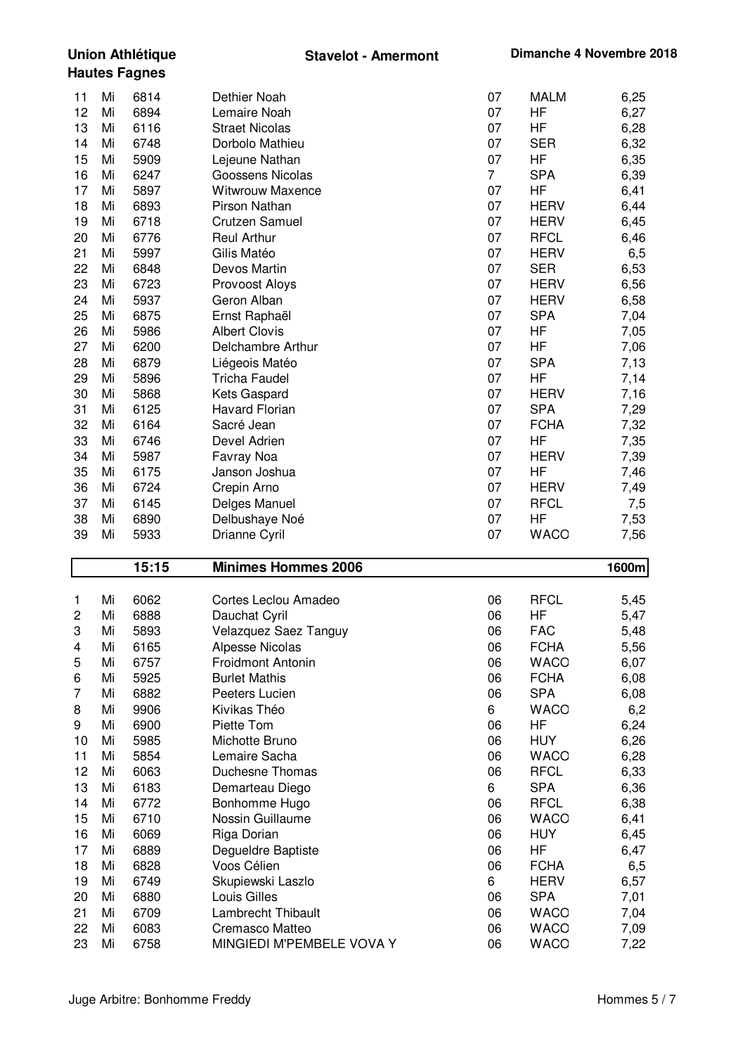| 6814<br>Dethier Noah<br>07<br><b>MALM</b><br>11<br>Mi<br>12<br>07<br>6894<br>Lemaire Noah<br>HF<br>Mi<br>13<br>6116<br>07<br>HF<br><b>Straet Nicolas</b><br>Mi<br>14<br>6748<br>Dorbolo Mathieu<br>07<br><b>SER</b><br>Mi<br>15<br>5909<br>07<br>HF<br>Lejeune Nathan<br>Mi<br>16<br>$\overline{7}$<br>6247<br><b>SPA</b><br>Goossens Nicolas<br>Mi<br>17<br>5897<br><b>Witwrouw Maxence</b><br>07<br>HF<br>Mi<br>18<br>07<br>6893<br>Pirson Nathan<br><b>HERV</b><br>Mi<br>19<br>07<br>6718<br><b>HERV</b><br>Mi<br><b>Crutzen Samuel</b><br>07<br>20<br>6776<br><b>RFCL</b><br><b>Reul Arthur</b><br>Mi<br>21<br>5997<br>Gilis Matéo<br>07<br><b>HERV</b><br>Mi<br>22<br>07<br>6848<br>Devos Martin<br><b>SER</b><br>Mi<br>07<br>23<br>6723<br><b>HERV</b><br>Mi<br>Provoost Aloys<br>24<br>5937<br>Geron Alban<br>07<br><b>HERV</b><br>Mi<br>25<br>6875<br>07<br><b>SPA</b><br>Mi<br>Ernst Raphaël<br>07<br>26<br>5986<br><b>Albert Clovis</b><br>HF<br>Mi<br>27<br>6200<br>Delchambre Arthur<br>07<br>HF<br>Mi<br><b>SPA</b><br>28<br>6879<br>07<br>Mi<br>Liégeois Matéo<br>29<br>5896<br><b>Tricha Faudel</b><br>07<br>HF<br>Mi<br>30<br>5868<br>07<br><b>HERV</b><br>Kets Gaspard<br>Mi<br>31<br><b>Havard Florian</b><br><b>SPA</b><br>6125<br>07<br>Mi<br>32<br><b>FCHA</b><br>6164<br>Sacré Jean<br>07<br>Mi<br>33<br>07<br>HF<br>6746<br>Devel Adrien<br>Mi<br>34<br>5987<br>07<br><b>HERV</b><br>Mi<br>Favray Noa<br>07<br>35<br>6175<br>Janson Joshua<br>HF<br>Mi<br>07<br>36<br>6724<br><b>HERV</b><br>Mi<br>Crepin Arno<br>37<br>6145<br>07<br><b>RFCL</b><br>Delges Manuel<br>Mi<br>38<br>Delbushaye Noé<br>07<br>HF<br>Mi<br>6890<br>39<br>07<br><b>WACO</b><br>Mi<br>5933<br>Drianne Cyril<br>7,56<br>15:15<br><b>Minimes Hommes 2006</b><br>1600m<br><b>RFCL</b><br>Mi<br>6062<br>Cortes Leclou Amadeo<br>06<br>1<br>6888<br>HF<br>2<br>Mi<br>Dauchat Cyril<br>06<br>3<br>06<br>5893<br>Velazquez Saez Tanguy<br><b>FAC</b><br>Mi<br>06<br><b>FCHA</b><br>Mi<br>6165<br><b>Alpesse Nicolas</b><br>4<br>6757<br><b>Froidmont Antonin</b><br>06<br><b>WACO</b><br>5<br>Mi<br>5925<br>06<br><b>FCHA</b><br>6<br>Mi<br><b>Burlet Mathis</b><br><b>SPA</b><br>7<br>6882<br>06<br>Mi<br>Peeters Lucien<br>8<br>9906<br>6<br><b>WACO</b><br>Mi<br>Kivikas Théo<br>9<br>6900<br>06<br>HF<br>Mi<br>Piette Tom | 6,25<br>6,27<br>6,28<br>6,32<br>6,35<br>6,39<br>6,41<br>6,44 |
|------------------------------------------------------------------------------------------------------------------------------------------------------------------------------------------------------------------------------------------------------------------------------------------------------------------------------------------------------------------------------------------------------------------------------------------------------------------------------------------------------------------------------------------------------------------------------------------------------------------------------------------------------------------------------------------------------------------------------------------------------------------------------------------------------------------------------------------------------------------------------------------------------------------------------------------------------------------------------------------------------------------------------------------------------------------------------------------------------------------------------------------------------------------------------------------------------------------------------------------------------------------------------------------------------------------------------------------------------------------------------------------------------------------------------------------------------------------------------------------------------------------------------------------------------------------------------------------------------------------------------------------------------------------------------------------------------------------------------------------------------------------------------------------------------------------------------------------------------------------------------------------------------------------------------------------------------------------------------------------------------------------------------------------------------------------------------------------------------------------------------------------------------------------------------------------------------------------------------------------------------------------------------------------------------------------------|--------------------------------------------------------------|
|                                                                                                                                                                                                                                                                                                                                                                                                                                                                                                                                                                                                                                                                                                                                                                                                                                                                                                                                                                                                                                                                                                                                                                                                                                                                                                                                                                                                                                                                                                                                                                                                                                                                                                                                                                                                                                                                                                                                                                                                                                                                                                                                                                                                                                                                                                                        |                                                              |
|                                                                                                                                                                                                                                                                                                                                                                                                                                                                                                                                                                                                                                                                                                                                                                                                                                                                                                                                                                                                                                                                                                                                                                                                                                                                                                                                                                                                                                                                                                                                                                                                                                                                                                                                                                                                                                                                                                                                                                                                                                                                                                                                                                                                                                                                                                                        |                                                              |
|                                                                                                                                                                                                                                                                                                                                                                                                                                                                                                                                                                                                                                                                                                                                                                                                                                                                                                                                                                                                                                                                                                                                                                                                                                                                                                                                                                                                                                                                                                                                                                                                                                                                                                                                                                                                                                                                                                                                                                                                                                                                                                                                                                                                                                                                                                                        |                                                              |
|                                                                                                                                                                                                                                                                                                                                                                                                                                                                                                                                                                                                                                                                                                                                                                                                                                                                                                                                                                                                                                                                                                                                                                                                                                                                                                                                                                                                                                                                                                                                                                                                                                                                                                                                                                                                                                                                                                                                                                                                                                                                                                                                                                                                                                                                                                                        |                                                              |
|                                                                                                                                                                                                                                                                                                                                                                                                                                                                                                                                                                                                                                                                                                                                                                                                                                                                                                                                                                                                                                                                                                                                                                                                                                                                                                                                                                                                                                                                                                                                                                                                                                                                                                                                                                                                                                                                                                                                                                                                                                                                                                                                                                                                                                                                                                                        |                                                              |
|                                                                                                                                                                                                                                                                                                                                                                                                                                                                                                                                                                                                                                                                                                                                                                                                                                                                                                                                                                                                                                                                                                                                                                                                                                                                                                                                                                                                                                                                                                                                                                                                                                                                                                                                                                                                                                                                                                                                                                                                                                                                                                                                                                                                                                                                                                                        |                                                              |
|                                                                                                                                                                                                                                                                                                                                                                                                                                                                                                                                                                                                                                                                                                                                                                                                                                                                                                                                                                                                                                                                                                                                                                                                                                                                                                                                                                                                                                                                                                                                                                                                                                                                                                                                                                                                                                                                                                                                                                                                                                                                                                                                                                                                                                                                                                                        |                                                              |
|                                                                                                                                                                                                                                                                                                                                                                                                                                                                                                                                                                                                                                                                                                                                                                                                                                                                                                                                                                                                                                                                                                                                                                                                                                                                                                                                                                                                                                                                                                                                                                                                                                                                                                                                                                                                                                                                                                                                                                                                                                                                                                                                                                                                                                                                                                                        |                                                              |
|                                                                                                                                                                                                                                                                                                                                                                                                                                                                                                                                                                                                                                                                                                                                                                                                                                                                                                                                                                                                                                                                                                                                                                                                                                                                                                                                                                                                                                                                                                                                                                                                                                                                                                                                                                                                                                                                                                                                                                                                                                                                                                                                                                                                                                                                                                                        | 6,45                                                         |
|                                                                                                                                                                                                                                                                                                                                                                                                                                                                                                                                                                                                                                                                                                                                                                                                                                                                                                                                                                                                                                                                                                                                                                                                                                                                                                                                                                                                                                                                                                                                                                                                                                                                                                                                                                                                                                                                                                                                                                                                                                                                                                                                                                                                                                                                                                                        | 6,46                                                         |
|                                                                                                                                                                                                                                                                                                                                                                                                                                                                                                                                                                                                                                                                                                                                                                                                                                                                                                                                                                                                                                                                                                                                                                                                                                                                                                                                                                                                                                                                                                                                                                                                                                                                                                                                                                                                                                                                                                                                                                                                                                                                                                                                                                                                                                                                                                                        | 6,5                                                          |
|                                                                                                                                                                                                                                                                                                                                                                                                                                                                                                                                                                                                                                                                                                                                                                                                                                                                                                                                                                                                                                                                                                                                                                                                                                                                                                                                                                                                                                                                                                                                                                                                                                                                                                                                                                                                                                                                                                                                                                                                                                                                                                                                                                                                                                                                                                                        | 6,53                                                         |
|                                                                                                                                                                                                                                                                                                                                                                                                                                                                                                                                                                                                                                                                                                                                                                                                                                                                                                                                                                                                                                                                                                                                                                                                                                                                                                                                                                                                                                                                                                                                                                                                                                                                                                                                                                                                                                                                                                                                                                                                                                                                                                                                                                                                                                                                                                                        | 6,56                                                         |
|                                                                                                                                                                                                                                                                                                                                                                                                                                                                                                                                                                                                                                                                                                                                                                                                                                                                                                                                                                                                                                                                                                                                                                                                                                                                                                                                                                                                                                                                                                                                                                                                                                                                                                                                                                                                                                                                                                                                                                                                                                                                                                                                                                                                                                                                                                                        | 6,58                                                         |
|                                                                                                                                                                                                                                                                                                                                                                                                                                                                                                                                                                                                                                                                                                                                                                                                                                                                                                                                                                                                                                                                                                                                                                                                                                                                                                                                                                                                                                                                                                                                                                                                                                                                                                                                                                                                                                                                                                                                                                                                                                                                                                                                                                                                                                                                                                                        | 7,04                                                         |
|                                                                                                                                                                                                                                                                                                                                                                                                                                                                                                                                                                                                                                                                                                                                                                                                                                                                                                                                                                                                                                                                                                                                                                                                                                                                                                                                                                                                                                                                                                                                                                                                                                                                                                                                                                                                                                                                                                                                                                                                                                                                                                                                                                                                                                                                                                                        | 7,05                                                         |
|                                                                                                                                                                                                                                                                                                                                                                                                                                                                                                                                                                                                                                                                                                                                                                                                                                                                                                                                                                                                                                                                                                                                                                                                                                                                                                                                                                                                                                                                                                                                                                                                                                                                                                                                                                                                                                                                                                                                                                                                                                                                                                                                                                                                                                                                                                                        | 7,06                                                         |
|                                                                                                                                                                                                                                                                                                                                                                                                                                                                                                                                                                                                                                                                                                                                                                                                                                                                                                                                                                                                                                                                                                                                                                                                                                                                                                                                                                                                                                                                                                                                                                                                                                                                                                                                                                                                                                                                                                                                                                                                                                                                                                                                                                                                                                                                                                                        | 7,13                                                         |
|                                                                                                                                                                                                                                                                                                                                                                                                                                                                                                                                                                                                                                                                                                                                                                                                                                                                                                                                                                                                                                                                                                                                                                                                                                                                                                                                                                                                                                                                                                                                                                                                                                                                                                                                                                                                                                                                                                                                                                                                                                                                                                                                                                                                                                                                                                                        | 7,14                                                         |
|                                                                                                                                                                                                                                                                                                                                                                                                                                                                                                                                                                                                                                                                                                                                                                                                                                                                                                                                                                                                                                                                                                                                                                                                                                                                                                                                                                                                                                                                                                                                                                                                                                                                                                                                                                                                                                                                                                                                                                                                                                                                                                                                                                                                                                                                                                                        | 7,16                                                         |
|                                                                                                                                                                                                                                                                                                                                                                                                                                                                                                                                                                                                                                                                                                                                                                                                                                                                                                                                                                                                                                                                                                                                                                                                                                                                                                                                                                                                                                                                                                                                                                                                                                                                                                                                                                                                                                                                                                                                                                                                                                                                                                                                                                                                                                                                                                                        | 7,29                                                         |
|                                                                                                                                                                                                                                                                                                                                                                                                                                                                                                                                                                                                                                                                                                                                                                                                                                                                                                                                                                                                                                                                                                                                                                                                                                                                                                                                                                                                                                                                                                                                                                                                                                                                                                                                                                                                                                                                                                                                                                                                                                                                                                                                                                                                                                                                                                                        | 7,32                                                         |
|                                                                                                                                                                                                                                                                                                                                                                                                                                                                                                                                                                                                                                                                                                                                                                                                                                                                                                                                                                                                                                                                                                                                                                                                                                                                                                                                                                                                                                                                                                                                                                                                                                                                                                                                                                                                                                                                                                                                                                                                                                                                                                                                                                                                                                                                                                                        | 7,35                                                         |
|                                                                                                                                                                                                                                                                                                                                                                                                                                                                                                                                                                                                                                                                                                                                                                                                                                                                                                                                                                                                                                                                                                                                                                                                                                                                                                                                                                                                                                                                                                                                                                                                                                                                                                                                                                                                                                                                                                                                                                                                                                                                                                                                                                                                                                                                                                                        | 7,39                                                         |
|                                                                                                                                                                                                                                                                                                                                                                                                                                                                                                                                                                                                                                                                                                                                                                                                                                                                                                                                                                                                                                                                                                                                                                                                                                                                                                                                                                                                                                                                                                                                                                                                                                                                                                                                                                                                                                                                                                                                                                                                                                                                                                                                                                                                                                                                                                                        | 7,46                                                         |
|                                                                                                                                                                                                                                                                                                                                                                                                                                                                                                                                                                                                                                                                                                                                                                                                                                                                                                                                                                                                                                                                                                                                                                                                                                                                                                                                                                                                                                                                                                                                                                                                                                                                                                                                                                                                                                                                                                                                                                                                                                                                                                                                                                                                                                                                                                                        | 7,49                                                         |
|                                                                                                                                                                                                                                                                                                                                                                                                                                                                                                                                                                                                                                                                                                                                                                                                                                                                                                                                                                                                                                                                                                                                                                                                                                                                                                                                                                                                                                                                                                                                                                                                                                                                                                                                                                                                                                                                                                                                                                                                                                                                                                                                                                                                                                                                                                                        | 7,5                                                          |
|                                                                                                                                                                                                                                                                                                                                                                                                                                                                                                                                                                                                                                                                                                                                                                                                                                                                                                                                                                                                                                                                                                                                                                                                                                                                                                                                                                                                                                                                                                                                                                                                                                                                                                                                                                                                                                                                                                                                                                                                                                                                                                                                                                                                                                                                                                                        | 7,53                                                         |
|                                                                                                                                                                                                                                                                                                                                                                                                                                                                                                                                                                                                                                                                                                                                                                                                                                                                                                                                                                                                                                                                                                                                                                                                                                                                                                                                                                                                                                                                                                                                                                                                                                                                                                                                                                                                                                                                                                                                                                                                                                                                                                                                                                                                                                                                                                                        |                                                              |
|                                                                                                                                                                                                                                                                                                                                                                                                                                                                                                                                                                                                                                                                                                                                                                                                                                                                                                                                                                                                                                                                                                                                                                                                                                                                                                                                                                                                                                                                                                                                                                                                                                                                                                                                                                                                                                                                                                                                                                                                                                                                                                                                                                                                                                                                                                                        |                                                              |
|                                                                                                                                                                                                                                                                                                                                                                                                                                                                                                                                                                                                                                                                                                                                                                                                                                                                                                                                                                                                                                                                                                                                                                                                                                                                                                                                                                                                                                                                                                                                                                                                                                                                                                                                                                                                                                                                                                                                                                                                                                                                                                                                                                                                                                                                                                                        | 5,45                                                         |
|                                                                                                                                                                                                                                                                                                                                                                                                                                                                                                                                                                                                                                                                                                                                                                                                                                                                                                                                                                                                                                                                                                                                                                                                                                                                                                                                                                                                                                                                                                                                                                                                                                                                                                                                                                                                                                                                                                                                                                                                                                                                                                                                                                                                                                                                                                                        | 5,47                                                         |
|                                                                                                                                                                                                                                                                                                                                                                                                                                                                                                                                                                                                                                                                                                                                                                                                                                                                                                                                                                                                                                                                                                                                                                                                                                                                                                                                                                                                                                                                                                                                                                                                                                                                                                                                                                                                                                                                                                                                                                                                                                                                                                                                                                                                                                                                                                                        | 5,48                                                         |
|                                                                                                                                                                                                                                                                                                                                                                                                                                                                                                                                                                                                                                                                                                                                                                                                                                                                                                                                                                                                                                                                                                                                                                                                                                                                                                                                                                                                                                                                                                                                                                                                                                                                                                                                                                                                                                                                                                                                                                                                                                                                                                                                                                                                                                                                                                                        | 5,56                                                         |
|                                                                                                                                                                                                                                                                                                                                                                                                                                                                                                                                                                                                                                                                                                                                                                                                                                                                                                                                                                                                                                                                                                                                                                                                                                                                                                                                                                                                                                                                                                                                                                                                                                                                                                                                                                                                                                                                                                                                                                                                                                                                                                                                                                                                                                                                                                                        | 6,07                                                         |
|                                                                                                                                                                                                                                                                                                                                                                                                                                                                                                                                                                                                                                                                                                                                                                                                                                                                                                                                                                                                                                                                                                                                                                                                                                                                                                                                                                                                                                                                                                                                                                                                                                                                                                                                                                                                                                                                                                                                                                                                                                                                                                                                                                                                                                                                                                                        | 6,08                                                         |
|                                                                                                                                                                                                                                                                                                                                                                                                                                                                                                                                                                                                                                                                                                                                                                                                                                                                                                                                                                                                                                                                                                                                                                                                                                                                                                                                                                                                                                                                                                                                                                                                                                                                                                                                                                                                                                                                                                                                                                                                                                                                                                                                                                                                                                                                                                                        | 6,08                                                         |
|                                                                                                                                                                                                                                                                                                                                                                                                                                                                                                                                                                                                                                                                                                                                                                                                                                                                                                                                                                                                                                                                                                                                                                                                                                                                                                                                                                                                                                                                                                                                                                                                                                                                                                                                                                                                                                                                                                                                                                                                                                                                                                                                                                                                                                                                                                                        | 6,2                                                          |
|                                                                                                                                                                                                                                                                                                                                                                                                                                                                                                                                                                                                                                                                                                                                                                                                                                                                                                                                                                                                                                                                                                                                                                                                                                                                                                                                                                                                                                                                                                                                                                                                                                                                                                                                                                                                                                                                                                                                                                                                                                                                                                                                                                                                                                                                                                                        | 6,24                                                         |
| 10<br>5985<br>06<br><b>HUY</b><br>Mi<br>Michotte Bruno                                                                                                                                                                                                                                                                                                                                                                                                                                                                                                                                                                                                                                                                                                                                                                                                                                                                                                                                                                                                                                                                                                                                                                                                                                                                                                                                                                                                                                                                                                                                                                                                                                                                                                                                                                                                                                                                                                                                                                                                                                                                                                                                                                                                                                                                 | 6,26                                                         |
| 11<br>5854<br>Lemaire Sacha<br>06<br><b>WACO</b><br>Mi                                                                                                                                                                                                                                                                                                                                                                                                                                                                                                                                                                                                                                                                                                                                                                                                                                                                                                                                                                                                                                                                                                                                                                                                                                                                                                                                                                                                                                                                                                                                                                                                                                                                                                                                                                                                                                                                                                                                                                                                                                                                                                                                                                                                                                                                 | 6,28                                                         |
| 12<br>6063<br>06<br><b>RFCL</b><br>Mi<br>Duchesne Thomas                                                                                                                                                                                                                                                                                                                                                                                                                                                                                                                                                                                                                                                                                                                                                                                                                                                                                                                                                                                                                                                                                                                                                                                                                                                                                                                                                                                                                                                                                                                                                                                                                                                                                                                                                                                                                                                                                                                                                                                                                                                                                                                                                                                                                                                               | 6,33                                                         |
| 13<br><b>SPA</b><br>6183<br>6<br>Mi<br>Demarteau Diego                                                                                                                                                                                                                                                                                                                                                                                                                                                                                                                                                                                                                                                                                                                                                                                                                                                                                                                                                                                                                                                                                                                                                                                                                                                                                                                                                                                                                                                                                                                                                                                                                                                                                                                                                                                                                                                                                                                                                                                                                                                                                                                                                                                                                                                                 | 6,36                                                         |
| 14<br>6772<br>Bonhomme Hugo<br>06<br><b>RFCL</b><br>Mi                                                                                                                                                                                                                                                                                                                                                                                                                                                                                                                                                                                                                                                                                                                                                                                                                                                                                                                                                                                                                                                                                                                                                                                                                                                                                                                                                                                                                                                                                                                                                                                                                                                                                                                                                                                                                                                                                                                                                                                                                                                                                                                                                                                                                                                                 | 6,38                                                         |
| 15<br>6710<br>Nossin Guillaume<br>06<br><b>WACO</b><br>Mi                                                                                                                                                                                                                                                                                                                                                                                                                                                                                                                                                                                                                                                                                                                                                                                                                                                                                                                                                                                                                                                                                                                                                                                                                                                                                                                                                                                                                                                                                                                                                                                                                                                                                                                                                                                                                                                                                                                                                                                                                                                                                                                                                                                                                                                              | 6,41                                                         |
| 16<br>6069<br>06<br><b>HUY</b><br>Mi<br>Riga Dorian                                                                                                                                                                                                                                                                                                                                                                                                                                                                                                                                                                                                                                                                                                                                                                                                                                                                                                                                                                                                                                                                                                                                                                                                                                                                                                                                                                                                                                                                                                                                                                                                                                                                                                                                                                                                                                                                                                                                                                                                                                                                                                                                                                                                                                                                    | 6,45                                                         |
| 17<br>6889<br>06<br>HF<br>Degueldre Baptiste<br>Mi                                                                                                                                                                                                                                                                                                                                                                                                                                                                                                                                                                                                                                                                                                                                                                                                                                                                                                                                                                                                                                                                                                                                                                                                                                                                                                                                                                                                                                                                                                                                                                                                                                                                                                                                                                                                                                                                                                                                                                                                                                                                                                                                                                                                                                                                     | 6,47                                                         |
| 18<br>6828<br>Voos Célien<br>06<br><b>FCHA</b><br>Mi                                                                                                                                                                                                                                                                                                                                                                                                                                                                                                                                                                                                                                                                                                                                                                                                                                                                                                                                                                                                                                                                                                                                                                                                                                                                                                                                                                                                                                                                                                                                                                                                                                                                                                                                                                                                                                                                                                                                                                                                                                                                                                                                                                                                                                                                   | 6,5                                                          |
| 19<br>6749<br>6<br><b>HERV</b><br>Mi<br>Skupiewski Laszlo                                                                                                                                                                                                                                                                                                                                                                                                                                                                                                                                                                                                                                                                                                                                                                                                                                                                                                                                                                                                                                                                                                                                                                                                                                                                                                                                                                                                                                                                                                                                                                                                                                                                                                                                                                                                                                                                                                                                                                                                                                                                                                                                                                                                                                                              | 6,57                                                         |
| 20<br>6880<br>Louis Gilles<br><b>SPA</b><br>Mi<br>06<br>21                                                                                                                                                                                                                                                                                                                                                                                                                                                                                                                                                                                                                                                                                                                                                                                                                                                                                                                                                                                                                                                                                                                                                                                                                                                                                                                                                                                                                                                                                                                                                                                                                                                                                                                                                                                                                                                                                                                                                                                                                                                                                                                                                                                                                                                             | 7,01                                                         |
| 6709<br><b>Lambrecht Thibault</b><br>06<br><b>WACO</b><br>Mi<br>22<br>6083<br>06<br><b>WACO</b><br>Mi<br>Cremasco Matteo                                                                                                                                                                                                                                                                                                                                                                                                                                                                                                                                                                                                                                                                                                                                                                                                                                                                                                                                                                                                                                                                                                                                                                                                                                                                                                                                                                                                                                                                                                                                                                                                                                                                                                                                                                                                                                                                                                                                                                                                                                                                                                                                                                                               | 7,04                                                         |
| 23<br>6758<br>MINGIEDI M'PEMBELE VOVA Y<br>06<br><b>WACO</b><br>7,22<br>Mi                                                                                                                                                                                                                                                                                                                                                                                                                                                                                                                                                                                                                                                                                                                                                                                                                                                                                                                                                                                                                                                                                                                                                                                                                                                                                                                                                                                                                                                                                                                                                                                                                                                                                                                                                                                                                                                                                                                                                                                                                                                                                                                                                                                                                                             | 7,09                                                         |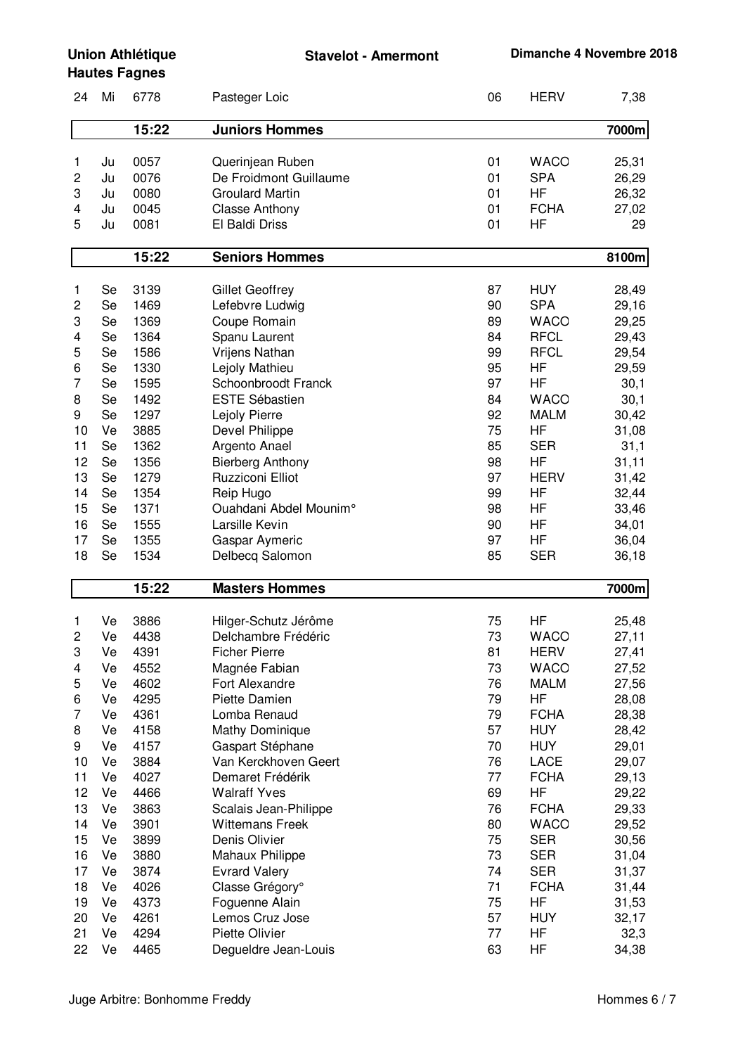**Stavelot - Amermont Dimanche 4 Novembre 2018**

## **Union Athlétique Hautes Fagnes**

| 24                                                                                              | Mi                                                                                                       | 6778                                                                                                                                         | Pasteger Loic                                                                                                                                                                                                                                                                                                                                                                                     | 06                                                                                                       | <b>HERV</b>                                                                                                                                                                                                                         | 7,38                                                                                                                                                           |
|-------------------------------------------------------------------------------------------------|----------------------------------------------------------------------------------------------------------|----------------------------------------------------------------------------------------------------------------------------------------------|---------------------------------------------------------------------------------------------------------------------------------------------------------------------------------------------------------------------------------------------------------------------------------------------------------------------------------------------------------------------------------------------------|----------------------------------------------------------------------------------------------------------|-------------------------------------------------------------------------------------------------------------------------------------------------------------------------------------------------------------------------------------|----------------------------------------------------------------------------------------------------------------------------------------------------------------|
|                                                                                                 |                                                                                                          | 15:22                                                                                                                                        | <b>Juniors Hommes</b>                                                                                                                                                                                                                                                                                                                                                                             |                                                                                                          |                                                                                                                                                                                                                                     | 7000m                                                                                                                                                          |
| 1<br>2<br>3<br>4<br>5                                                                           | Ju<br>Ju<br>Ju<br>Ju<br>Ju                                                                               | 0057<br>0076<br>0080<br>0045<br>0081                                                                                                         | Querinjean Ruben<br>De Froidmont Guillaume<br><b>Groulard Martin</b><br><b>Classe Anthony</b><br>El Baldi Driss                                                                                                                                                                                                                                                                                   | 01<br>01<br>01<br>01<br>01                                                                               | <b>WACO</b><br><b>SPA</b><br>HF<br><b>FCHA</b><br><b>HF</b>                                                                                                                                                                         | 25,31<br>26,29<br>26,32<br>27,02<br>29                                                                                                                         |
|                                                                                                 |                                                                                                          | 15:22                                                                                                                                        | <b>Seniors Hommes</b>                                                                                                                                                                                                                                                                                                                                                                             |                                                                                                          |                                                                                                                                                                                                                                     | 8100m                                                                                                                                                          |
|                                                                                                 |                                                                                                          |                                                                                                                                              |                                                                                                                                                                                                                                                                                                                                                                                                   |                                                                                                          |                                                                                                                                                                                                                                     |                                                                                                                                                                |
| 1<br>2<br>3<br>4<br>5<br>6<br>7<br>8<br>9<br>10<br>11<br>12<br>13<br>14<br>15<br>16<br>17<br>18 | Se<br>Se<br>Se<br>Se<br>Se<br>Se<br>Se<br>Se<br>Se<br>Ve<br>Se<br>Se<br>Se<br>Se<br>Se<br>Se<br>Se<br>Se | 3139<br>1469<br>1369<br>1364<br>1586<br>1330<br>1595<br>1492<br>1297<br>3885<br>1362<br>1356<br>1279<br>1354<br>1371<br>1555<br>1355<br>1534 | <b>Gillet Geoffrey</b><br>Lefebvre Ludwig<br>Coupe Romain<br>Spanu Laurent<br><b>Vrijens Nathan</b><br>Lejoly Mathieu<br>Schoonbroodt Franck<br><b>ESTE Sébastien</b><br>Lejoly Pierre<br>Devel Philippe<br>Argento Anael<br><b>Bierberg Anthony</b><br>Ruzziconi Elliot<br>Reip Hugo<br>Ouahdani Abdel Mounim°<br>Larsille Kevin<br>Gaspar Aymeric<br>Delbecq Salomon                            | 87<br>90<br>89<br>84<br>99<br>95<br>97<br>84<br>92<br>75<br>85<br>98<br>97<br>99<br>98<br>90<br>97<br>85 | <b>HUY</b><br><b>SPA</b><br><b>WACO</b><br><b>RFCL</b><br><b>RFCL</b><br>HF<br>HF<br><b>WACO</b><br><b>MALM</b><br><b>HF</b><br><b>SER</b><br>HF<br><b>HERV</b><br>HF<br>HF<br>HF<br>HF<br><b>SER</b>                               | 28,49<br>29,16<br>29,25<br>29,43<br>29,54<br>29,59<br>30,1<br>30,1<br>30,42<br>31,08<br>31,1<br>31,11<br>31,42<br>32,44<br>33,46<br>34,01<br>36,04<br>36,18    |
|                                                                                                 |                                                                                                          | 15:22                                                                                                                                        | <b>Masters Hommes</b>                                                                                                                                                                                                                                                                                                                                                                             |                                                                                                          |                                                                                                                                                                                                                                     | 7000m                                                                                                                                                          |
| 1<br>2<br>3<br>4<br>5<br>6<br>7<br>8<br>9<br>10<br>11<br>12<br>13<br>14<br>15<br>16<br>17<br>18 | Ve<br>Ve<br>Ve<br>Ve<br>Ve<br>Ve<br>Ve<br>Ve<br>Ve<br>Ve<br>Ve<br>Ve<br>Ve<br>Ve<br>Ve<br>Ve<br>Ve<br>Ve | 3886<br>4438<br>4391<br>4552<br>4602<br>4295<br>4361<br>4158<br>4157<br>3884<br>4027<br>4466<br>3863<br>3901<br>3899<br>3880<br>3874<br>4026 | Hilger-Schutz Jérôme<br>Delchambre Frédéric<br><b>Ficher Pierre</b><br>Magnée Fabian<br>Fort Alexandre<br>Piette Damien<br>Lomba Renaud<br><b>Mathy Dominique</b><br>Gaspart Stéphane<br>Van Kerckhoven Geert<br>Demaret Frédérik<br><b>Walraff Yves</b><br>Scalais Jean-Philippe<br><b>Wittemans Freek</b><br>Denis Olivier<br><b>Mahaux Philippe</b><br><b>Evrard Valery</b><br>Classe Grégory° | 75<br>73<br>81<br>73<br>76<br>79<br>79<br>57<br>70<br>76<br>77<br>69<br>76<br>80<br>75<br>73<br>74<br>71 | HF<br><b>WACO</b><br><b>HERV</b><br><b>WACO</b><br><b>MALM</b><br>HF<br><b>FCHA</b><br><b>HUY</b><br><b>HUY</b><br>LACE<br><b>FCHA</b><br>HF<br><b>FCHA</b><br><b>WACO</b><br><b>SER</b><br><b>SER</b><br><b>SER</b><br><b>FCHA</b> | 25,48<br>27,11<br>27,41<br>27,52<br>27,56<br>28,08<br>28,38<br>28,42<br>29,01<br>29,07<br>29,13<br>29,22<br>29,33<br>29,52<br>30,56<br>31,04<br>31,37<br>31,44 |
| 19<br>20<br>21                                                                                  | Ve<br>Ve<br>Ve                                                                                           | 4373<br>4261<br>4294                                                                                                                         | Foguenne Alain<br>Lemos Cruz Jose<br>Piette Olivier                                                                                                                                                                                                                                                                                                                                               | 75<br>57<br>77                                                                                           | HF<br><b>HUY</b><br>ΗF                                                                                                                                                                                                              | 31,53<br>32,17<br>32,3                                                                                                                                         |

22 Ve 4465 Degueldre Jean-Louis 63 HF 34,38